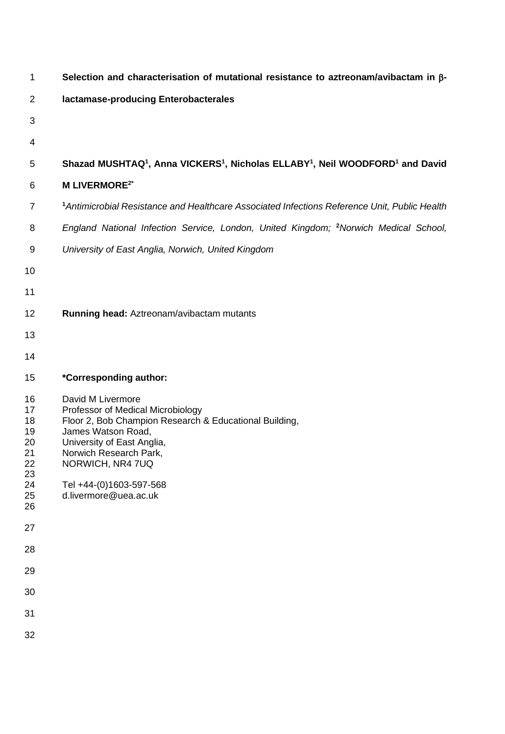| 1                                                              | Selection and characterisation of mutational resistance to aztreonam/avibactam in β-                                                                                                                                                                                   |
|----------------------------------------------------------------|------------------------------------------------------------------------------------------------------------------------------------------------------------------------------------------------------------------------------------------------------------------------|
| $\overline{2}$                                                 | lactamase-producing Enterobacterales                                                                                                                                                                                                                                   |
| 3                                                              |                                                                                                                                                                                                                                                                        |
| 4                                                              |                                                                                                                                                                                                                                                                        |
| 5                                                              | Shazad MUSHTAQ <sup>1</sup> , Anna VICKERS <sup>1</sup> , Nicholas ELLABY <sup>1</sup> , Neil WOODFORD <sup>1</sup> and David                                                                                                                                          |
| 6                                                              | <b>M LIVERMORE<sup>2*</sup></b>                                                                                                                                                                                                                                        |
| $\overline{7}$                                                 | <sup>1</sup> Antimicrobial Resistance and Healthcare Associated Infections Reference Unit, Public Health                                                                                                                                                               |
| 8                                                              | England National Infection Service, London, United Kingdom; <sup>2</sup> Norwich Medical School,                                                                                                                                                                       |
| 9                                                              | University of East Anglia, Norwich, United Kingdom                                                                                                                                                                                                                     |
| 10                                                             |                                                                                                                                                                                                                                                                        |
| 11                                                             |                                                                                                                                                                                                                                                                        |
| 12                                                             | Running head: Aztreonam/avibactam mutants                                                                                                                                                                                                                              |
| 13                                                             |                                                                                                                                                                                                                                                                        |
| 14                                                             |                                                                                                                                                                                                                                                                        |
| 15                                                             | *Corresponding author:                                                                                                                                                                                                                                                 |
| 16<br>17<br>18<br>19<br>20<br>21<br>22<br>23<br>24<br>25<br>26 | David M Livermore<br>Professor of Medical Microbiology<br>Floor 2, Bob Champion Research & Educational Building,<br>James Watson Road,<br>University of East Anglia,<br>Norwich Research Park,<br>NORWICH, NR4 7UQ<br>Tel +44-(0)1603-597-568<br>d.livermore@uea.ac.uk |
| 27                                                             |                                                                                                                                                                                                                                                                        |
| 28                                                             |                                                                                                                                                                                                                                                                        |
| 29                                                             |                                                                                                                                                                                                                                                                        |
| 30                                                             |                                                                                                                                                                                                                                                                        |
| 31                                                             |                                                                                                                                                                                                                                                                        |
| 32                                                             |                                                                                                                                                                                                                                                                        |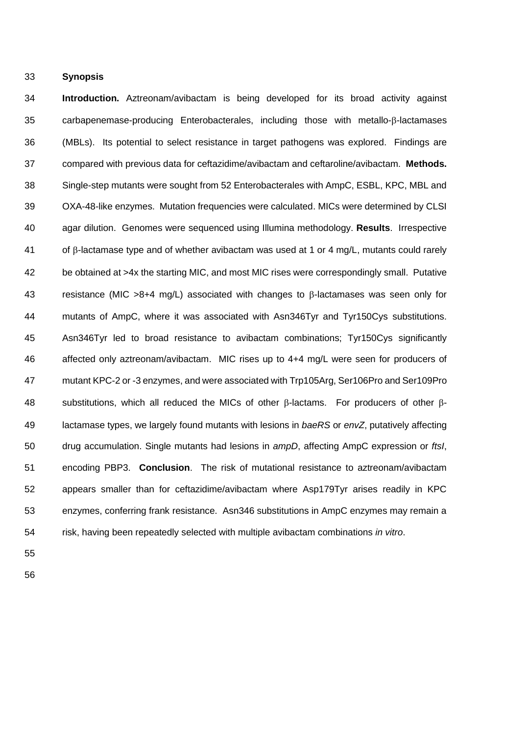**Synopsis**

 **Introduction.** Aztreonam/avibactam is being developed for its broad activity against carbapenemase-producing Enterobacterales, including those with metallo- $\beta$ -lactamases (MBLs). Its potential to select resistance in target pathogens was explored. Findings are compared with previous data for ceftazidime/avibactam and ceftaroline/avibactam. **Methods.** Single-step mutants were sought from 52 Enterobacterales with AmpC, ESBL, KPC, MBL and OXA-48-like enzymes. Mutation frequencies were calculated. MICs were determined by CLSI agar dilution. Genomes were sequenced using Illumina methodology. **Results**. Irrespective 41 of  $\beta$ -lactamase type and of whether avibactam was used at 1 or 4 mg/L, mutants could rarely be obtained at >4x the starting MIC, and most MIC rises were correspondingly small. Putative 43 resistance (MIC >8+4 mg/L) associated with changes to  $\beta$ -lactamases was seen only for mutants of AmpC, where it was associated with Asn346Tyr and Tyr150Cys substitutions. Asn346Tyr led to broad resistance to avibactam combinations; Tyr150Cys significantly affected only aztreonam/avibactam. MIC rises up to 4+4 mg/L were seen for producers of mutant KPC-2 or -3 enzymes, and were associated with Trp105Arg, Ser106Pro and Ser109Pro 48 substitutions, which all reduced the MICs of other  $\beta$ -lactams. For producers of other  $\beta$ - lactamase types, we largely found mutants with lesions in *baeRS* or *envZ*, putatively affecting drug accumulation. Single mutants had lesions in *ampD*, affecting AmpC expression or *ftsI*, encoding PBP3. **Conclusion**. The risk of mutational resistance to aztreonam/avibactam appears smaller than for ceftazidime/avibactam where Asp179Tyr arises readily in KPC enzymes, conferring frank resistance. Asn346 substitutions in AmpC enzymes may remain a risk, having been repeatedly selected with multiple avibactam combinations *in vitro*.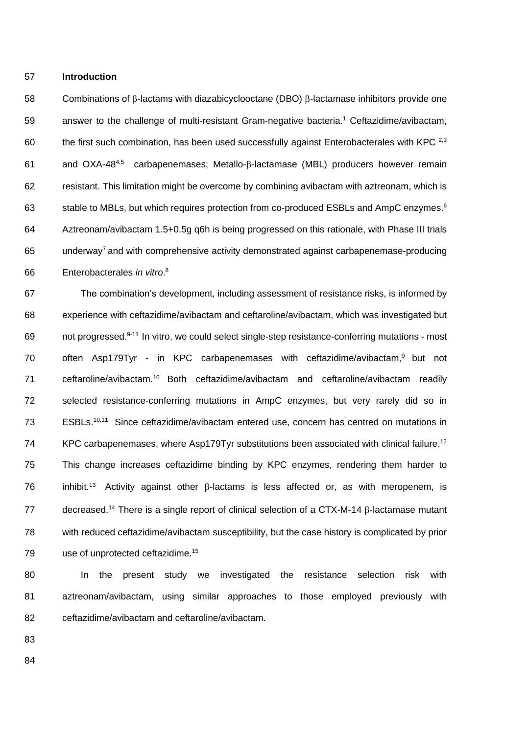57 **Introduction**

58 Combinations of  $\beta$ -lactams with diazabicyclooctane (DBO)  $\beta$ -lactamase inhibitors provide one 59 answer to the challenge of multi-resistant Gram-negative bacteria.<sup>1</sup> Ceftazidime/avibactam, 60 the first such combination, has been used successfully against Enterobacterales with KPC  $^{2,3}$ 61 and OXA-48<sup>4,5</sup> carbapenemases; Metallo- $\beta$ -lactamase (MBL) producers however remain 62 resistant. This limitation might be overcome by combining avibactam with aztreonam, which is 63 Stable to MBLs, but which requires protection from co-produced ESBLs and AmpC enzymes.<sup>6</sup> 64 Aztreonam/avibactam 1.5+0.5g q6h is being progressed on this rationale, with Phase III trials 65 underway<sup>7</sup> and with comprehensive activity demonstrated against carbapenemase-producing Enterobacterales *in vitro*. <sup>8</sup> 66

67 The combination's development, including assessment of resistance risks, is informed by 68 experience with ceftazidime/avibactam and ceftaroline/avibactam, which was investigated but 69 not progressed.<sup>9-11</sup> In vitro, we could select single-step resistance-conferring mutations - most 70 often Asp179Tyr - in KPC carbapenemases with ceftazidime/avibactam,<sup>9</sup> but not 71 ceftaroline/avibactam.<sup>10</sup> Both ceftazidime/avibactam and ceftaroline/avibactam readily 72 selected resistance-conferring mutations in AmpC enzymes, but very rarely did so in 73 ESBLs.<sup>10,11</sup> Since ceftazidime/avibactam entered use, concern has centred on mutations in 74 KPC carbapenemases, where Asp179Tyr substitutions been associated with clinical failure.<sup>12</sup> 75 This change increases ceftazidime binding by KPC enzymes, rendering them harder to 76 inhibit.<sup>13</sup> Activity against other  $\beta$ -lactams is less affected or, as with meropenem, is  $77$  decreased.<sup>14</sup> There is a single report of clinical selection of a CTX-M-14  $\beta$ -lactamase mutant 78 with reduced ceftazidime/avibactam susceptibility, but the case history is complicated by prior 79 use of unprotected ceftazidime.<sup>15</sup>

80 In the present study we investigated the resistance selection risk with 81 aztreonam/avibactam, using similar approaches to those employed previously with 82 ceftazidime/avibactam and ceftaroline/avibactam.

83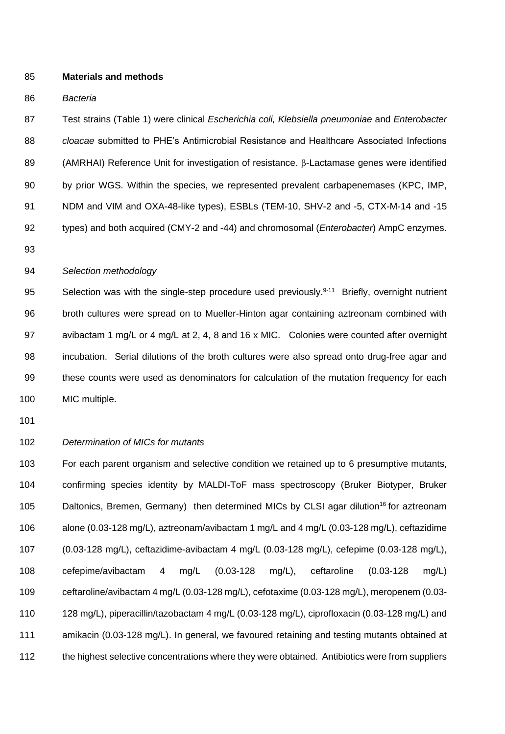# **Materials and methods**

#### *Bacteria*

 Test strains (Table 1) were clinical *Escherichia coli, Klebsiella pneumoniae* and *Enterobacter cloacae* submitted to PHE's Antimicrobial Resistance and Healthcare Associated Infections 89 (AMRHAI) Reference Unit for investigation of resistance.  $\beta$ -Lactamase genes were identified by prior WGS. Within the species, we represented prevalent carbapenemases (KPC, IMP, NDM and VIM and OXA-48-like types), ESBLs (TEM-10, SHV-2 and -5, CTX-M-14 and -15 types) and both acquired (CMY-2 and -44) and chromosomal (*Enterobacter*) AmpC enzymes.

#### *Selection methodology*

95 Selection was with the single-step procedure used previously.<sup>9-11</sup> Briefly, overnight nutrient broth cultures were spread on to Mueller-Hinton agar containing aztreonam combined with avibactam 1 mg/L or 4 mg/L at 2, 4, 8 and 16 x MIC. Colonies were counted after overnight incubation. Serial dilutions of the broth cultures were also spread onto drug-free agar and these counts were used as denominators for calculation of the mutation frequency for each MIC multiple.

#### *Determination of MICs for mutants*

 For each parent organism and selective condition we retained up to 6 presumptive mutants, confirming species identity by MALDI-ToF mass spectroscopy (Bruker Biotyper, Bruker 105 Daltonics, Bremen, Germany) then determined MICs by CLSI agar dilution<sup>16</sup> for aztreonam alone (0.03-128 mg/L), aztreonam/avibactam 1 mg/L and 4 mg/L (0.03-128 mg/L), ceftazidime (0.03-128 mg/L), ceftazidime-avibactam 4 mg/L (0.03-128 mg/L), cefepime (0.03-128 mg/L), cefepime/avibactam 4 mg/L (0.03-128 mg/L), ceftaroline (0.03-128 mg/L) ceftaroline/avibactam 4 mg/L (0.03-128 mg/L), cefotaxime (0.03-128 mg/L), meropenem (0.03- 128 mg/L), piperacillin/tazobactam 4 mg/L (0.03-128 mg/L), ciprofloxacin (0.03-128 mg/L) and amikacin (0.03-128 mg/L). In general, we favoured retaining and testing mutants obtained at 112 the highest selective concentrations where they were obtained. Antibiotics were from suppliers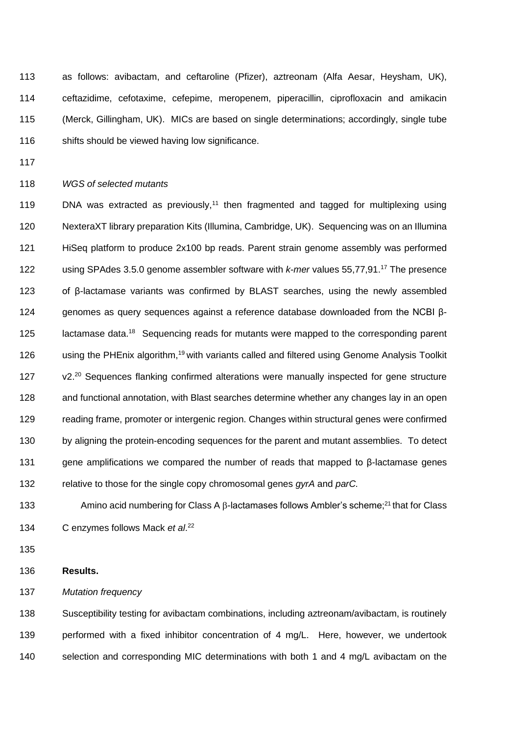as follows: avibactam, and ceftaroline (Pfizer), aztreonam (Alfa Aesar, Heysham, UK), ceftazidime, cefotaxime, cefepime, meropenem, piperacillin, ciprofloxacin and amikacin (Merck, Gillingham, UK). MICs are based on single determinations; accordingly, single tube 116 shifts should be viewed having low significance.

#### *WGS of selected mutants*

 $\blacksquare$  DNA was extracted as previously,<sup>11</sup> then fragmented and tagged for multiplexing using NexteraXT library preparation Kits (Illumina, Cambridge, UK). Sequencing was on an Illumina HiSeq platform to produce 2x100 bp reads. Parent strain genome assembly was performed 122 using SPAdes 3.5.0 genome assembler software with *k-mer* values 55,77,91.<sup>17</sup> The presence of β-lactamase variants was confirmed by BLAST searches, using the newly assembled genomes as query sequences against a reference database downloaded from the NCBI β-125 lactamase data.<sup>18</sup> Sequencing reads for mutants were mapped to the corresponding parent 126 using the PHEnix algorithm,<sup>19</sup> with variants called and filtered using Genome Analysis Toolkit 127 v2.<sup>20</sup> Sequences flanking confirmed alterations were manually inspected for gene structure and functional annotation, with Blast searches determine whether any changes lay in an open reading frame, promoter or intergenic region. Changes within structural genes were confirmed by aligning the protein-encoding sequences for the parent and mutant assemblies. To detect gene amplifications we compared the number of reads that mapped to β-lactamase genes relative to those for the single copy chromosomal genes *gyrA* and *parC.*

133 Amino acid numbering for Class A  $\beta$ -lactamases follows Ambler's scheme;<sup>21</sup> that for Class 134 C enzymes follows Mack *et al.*<sup>22</sup>

#### **Results.**

*Mutation frequency* 

 Susceptibility testing for avibactam combinations, including aztreonam/avibactam, is routinely performed with a fixed inhibitor concentration of 4 mg/L. Here, however, we undertook selection and corresponding MIC determinations with both 1 and 4 mg/L avibactam on the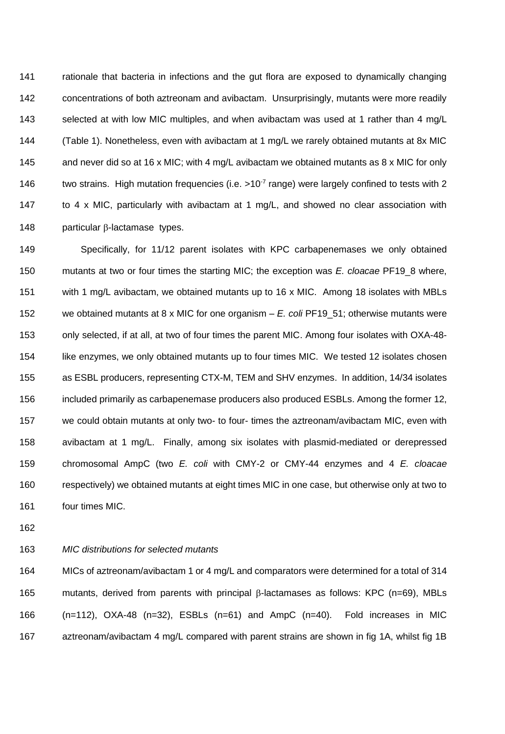rationale that bacteria in infections and the gut flora are exposed to dynamically changing concentrations of both aztreonam and avibactam. Unsurprisingly, mutants were more readily selected at with low MIC multiples, and when avibactam was used at 1 rather than 4 mg/L (Table 1). Nonetheless, even with avibactam at 1 mg/L we rarely obtained mutants at 8x MIC and never did so at 16 x MIC; with 4 mg/L avibactam we obtained mutants as 8 x MIC for only 146 two strains. High mutation frequencies (i.e.  $>10^{-7}$  range) were largely confined to tests with 2 to 4 x MIC, particularly with avibactam at 1 mg/L, and showed no clear association with 148 particular  $\beta$ -lactamase types.

 Specifically, for 11/12 parent isolates with KPC carbapenemases we only obtained mutants at two or four times the starting MIC; the exception was *E. cloacae* PF19\_8 where, with 1 mg/L avibactam, we obtained mutants up to 16 x MIC. Among 18 isolates with MBLs we obtained mutants at 8 x MIC for one organism – *E. coli* PF19\_51; otherwise mutants were only selected, if at all, at two of four times the parent MIC. Among four isolates with OXA-48- 154 like enzymes, we only obtained mutants up to four times MIC. We tested 12 isolates chosen as ESBL producers, representing CTX-M, TEM and SHV enzymes. In addition, 14/34 isolates included primarily as carbapenemase producers also produced ESBLs. Among the former 12, we could obtain mutants at only two- to four- times the aztreonam/avibactam MIC, even with avibactam at 1 mg/L. Finally, among six isolates with plasmid-mediated or derepressed chromosomal AmpC (two *E. coli* with CMY-2 or CMY-44 enzymes and 4 *E. cloacae* respectively) we obtained mutants at eight times MIC in one case, but otherwise only at two to four times MIC.

- 
- 

### *MIC distributions for selected mutants*

 MICs of aztreonam/avibactam 1 or 4 mg/L and comparators were determined for a total of 314 165 mutants, derived from parents with principal  $\beta$ -lactamases as follows: KPC (n=69), MBLs (n=112), OXA-48 (n=32), ESBLs (n=61) and AmpC (n=40). Fold increases in MIC aztreonam/avibactam 4 mg/L compared with parent strains are shown in fig 1A, whilst fig 1B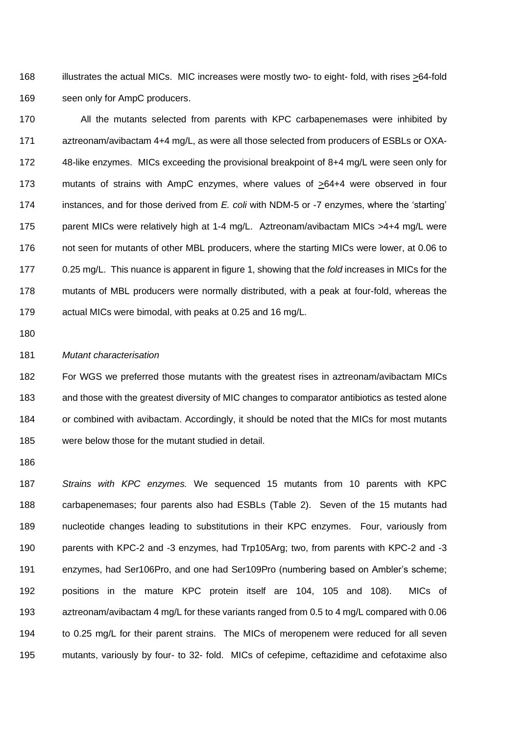168 illustrates the actual MICs. MIC increases were mostly two- to eight- fold, with rises  $\geq 64$ -fold seen only for AmpC producers.

 All the mutants selected from parents with KPC carbapenemases were inhibited by aztreonam/avibactam 4+4 mg/L, as were all those selected from producers of ESBLs or OXA- 48-like enzymes. MICs exceeding the provisional breakpoint of 8+4 mg/L were seen only for mutants of strains with AmpC enzymes, where values of >64+4 were observed in four instances, and for those derived from *E. coli* with NDM-5 or -7 enzymes, where the 'starting' 175 parent MICs were relatively high at 1-4 mg/L. Aztreonam/avibactam MICs >4+4 mg/L were not seen for mutants of other MBL producers, where the starting MICs were lower, at 0.06 to 0.25 mg/L. This nuance is apparent in figure 1, showing that the *fold* increases in MICs for the mutants of MBL producers were normally distributed, with a peak at four-fold, whereas the actual MICs were bimodal, with peaks at 0.25 and 16 mg/L.

#### *Mutant characterisation*

 For WGS we preferred those mutants with the greatest rises in aztreonam/avibactam MICs and those with the greatest diversity of MIC changes to comparator antibiotics as tested alone or combined with avibactam. Accordingly, it should be noted that the MICs for most mutants were below those for the mutant studied in detail.

 *Strains with KPC enzymes.* We sequenced 15 mutants from 10 parents with KPC carbapenemases; four parents also had ESBLs (Table 2). Seven of the 15 mutants had nucleotide changes leading to substitutions in their KPC enzymes. Four, variously from parents with KPC-2 and -3 enzymes, had Trp105Arg; two, from parents with KPC-2 and -3 enzymes, had Ser106Pro, and one had Ser109Pro (numbering based on Ambler's scheme; positions in the mature KPC protein itself are 104, 105 and 108). MICs of aztreonam/avibactam 4 mg/L for these variants ranged from 0.5 to 4 mg/L compared with 0.06 to 0.25 mg/L for their parent strains. The MICs of meropenem were reduced for all seven mutants, variously by four- to 32- fold. MICs of cefepime, ceftazidime and cefotaxime also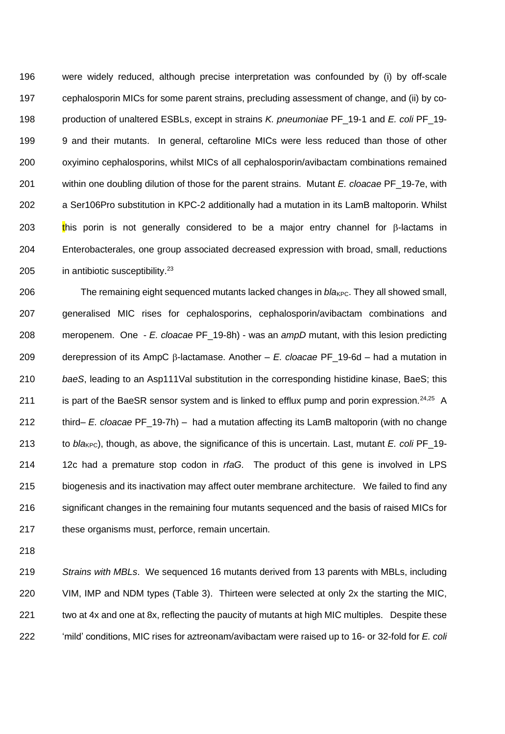were widely reduced, although precise interpretation was confounded by (i) by off-scale cephalosporin MICs for some parent strains, precluding assessment of change, and (ii) by co- production of unaltered ESBLs, except in strains *K. pneumoniae* PF\_19-1 and *E. coli* PF\_19- 9 and their mutants. In general, ceftaroline MICs were less reduced than those of other oxyimino cephalosporins, whilst MICs of all cephalosporin/avibactam combinations remained within one doubling dilution of those for the parent strains. Mutant *E. cloacae* PF\_19-7e, with a Ser106Pro substitution in KPC-2 additionally had a mutation in its LamB maltoporin. Whilst 203 this porin is not generally considered to be a major entry channel for  $\beta$ -lactams in Enterobacterales, one group associated decreased expression with broad, small, reductions 205 in antibiotic susceptibility.<sup>23</sup>

206 The remaining eight sequenced mutants lacked changes in *bla<sub>KPC</sub>*. They all showed small, generalised MIC rises for cephalosporins, cephalosporin/avibactam combinations and meropenem. One - *E. cloacae* PF\_19-8h) - was an *ampD* mutant, with this lesion predicting 209 derepression of its AmpC  $\beta$ -lactamase. Another – *E. cloacae* PF\_19-6d – had a mutation in *baeS*, leading to an Asp111Val substitution in the corresponding histidine kinase, BaeS; this 211 is part of the BaeSR sensor system and is linked to efflux pump and porin expression.  $24,25$  A third– *E. cloacae* PF\_19-7h) – had a mutation affecting its LamB maltoporin (with no change 213 to *bla<sub>KPC</sub>*), though, as above, the significance of this is uncertain. Last, mutant *E. coli* PF\_19- 12c had a premature stop codon in *rfaG.* The product of this gene is involved in LPS biogenesis and its inactivation may affect outer membrane architecture. We failed to find any significant changes in the remaining four mutants sequenced and the basis of raised MICs for these organisms must, perforce, remain uncertain.

 *Strains with MBLs*. We sequenced 16 mutants derived from 13 parents with MBLs, including VIM, IMP and NDM types (Table 3). Thirteen were selected at only 2x the starting the MIC, two at 4x and one at 8x, reflecting the paucity of mutants at high MIC multiples. Despite these 'mild' conditions, MIC rises for aztreonam/avibactam were raised up to 16- or 32-fold for *E. coli*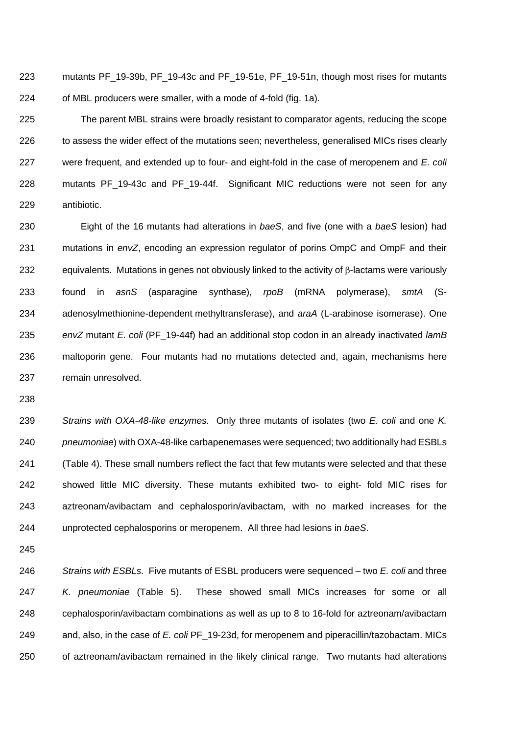mutants PF\_19-39b, PF\_19-43c and PF\_19-51e, PF\_19-51n, though most rises for mutants of MBL producers were smaller, with a mode of 4-fold (fig. 1a).

 The parent MBL strains were broadly resistant to comparator agents, reducing the scope to assess the wider effect of the mutations seen; nevertheless, generalised MICs rises clearly were frequent, and extended up to four- and eight-fold in the case of meropenem and *E. coli* mutants PF\_19-43c and PF\_19-44f. Significant MIC reductions were not seen for any antibiotic.

 Eight of the 16 mutants had alterations in *baeS*, and five (one with a *baeS* lesion) had mutations in *envZ*, encoding an expression regulator of porins OmpC and OmpF and their 232 equivalents. Mutations in genes not obviously linked to the activity of  $\beta$ -lactams were variously found in *asnS* (asparagine synthase), *rpoB* (mRNA polymerase), *smtA* (S- adenosylmethionine-dependent methyltransferase), and *araA* (L-arabinose isomerase). One *envZ* mutant *E. coli* (PF\_19-44f) had an additional stop codon in an already inactivated *lamB* maltoporin gene. Four mutants had no mutations detected and, again, mechanisms here remain unresolved.

 *Strains with OXA-48-like enzymes.* Only three mutants of isolates (two *E. coli* and one *K. pneumoniae*) with OXA-48-like carbapenemases were sequenced; two additionally had ESBLs (Table 4). These small numbers reflect the fact that few mutants were selected and that these showed little MIC diversity. These mutants exhibited two- to eight- fold MIC rises for aztreonam/avibactam and cephalosporin/avibactam, with no marked increases for the unprotected cephalosporins or meropenem. All three had lesions in *baeS*.

 *Strains with ESBLs.* Five mutants of ESBL producers were sequenced – two *E. coli* and three *K. pneumoniae* (Table 5). These showed small MICs increases for some or all cephalosporin/avibactam combinations as well as up to 8 to 16-fold for aztreonam/avibactam and, also, in the case of *E. coli* PF\_19-23d, for meropenem and piperacillin/tazobactam. MICs of aztreonam/avibactam remained in the likely clinical range. Two mutants had alterations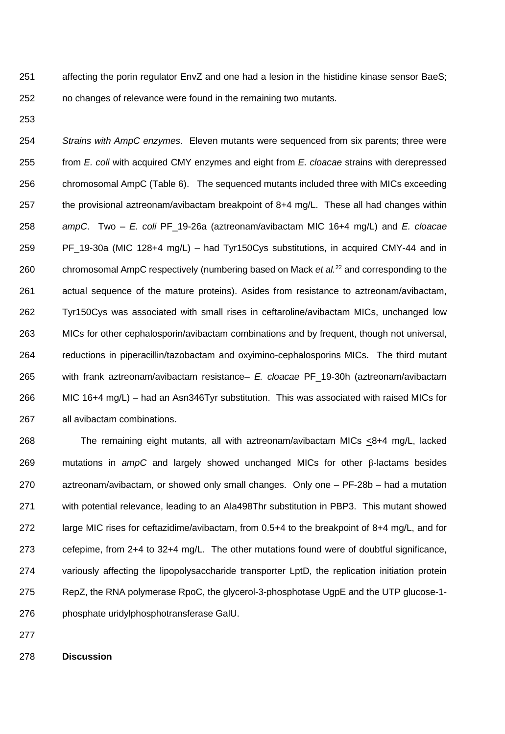affecting the porin regulator EnvZ and one had a lesion in the histidine kinase sensor BaeS; no changes of relevance were found in the remaining two mutants.

 *Strains with AmpC enzymes.* Eleven mutants were sequenced from six parents; three were from *E. coli* with acquired CMY enzymes and eight from *E. cloacae* strains with derepressed chromosomal AmpC (Table 6). The sequenced mutants included three with MICs exceeding 257 the provisional aztreonam/avibactam breakpoint of 8+4 mg/L. These all had changes within *ampC*. Two – *E. coli* PF\_19-26a (aztreonam/avibactam MIC 16+4 mg/L) and *E. cloacae* PF\_19-30a (MIC 128+4 mg/L) – had Tyr150Cys substitutions, in acquired CMY-44 and in 260 chromosomal AmpC respectively (numbering based on Mack *et al.<sup>22</sup>* and corresponding to the actual sequence of the mature proteins). Asides from resistance to aztreonam/avibactam, Tyr150Cys was associated with small rises in ceftaroline/avibactam MICs, unchanged low MICs for other cephalosporin/avibactam combinations and by frequent, though not universal, reductions in piperacillin/tazobactam and oxyimino-cephalosporins MICs. The third mutant with frank aztreonam/avibactam resistance– *E. cloacae* PF\_19-30h (aztreonam/avibactam MIC 16+4 mg/L) – had an Asn346Tyr substitution. This was associated with raised MICs for all avibactam combinations.

 The remaining eight mutants, all with aztreonam/avibactam MICs <8+4 mg/L, lacked 269 mutations in *ampC* and largely showed unchanged MICs for other  $\beta$ -lactams besides aztreonam/avibactam, or showed only small changes. Only one – PF-28b – had a mutation with potential relevance, leading to an Ala498Thr substitution in PBP3. This mutant showed large MIC rises for ceftazidime/avibactam, from 0.5+4 to the breakpoint of 8+4 mg/L, and for cefepime, from 2+4 to 32+4 mg/L. The other mutations found were of doubtful significance, variously affecting the lipopolysaccharide transporter LptD, the replication initiation protein RepZ, the RNA polymerase RpoC, the glycerol-3-phosphotase UgpE and the UTP glucose-1- phosphate uridylphosphotransferase GalU.

**Discussion**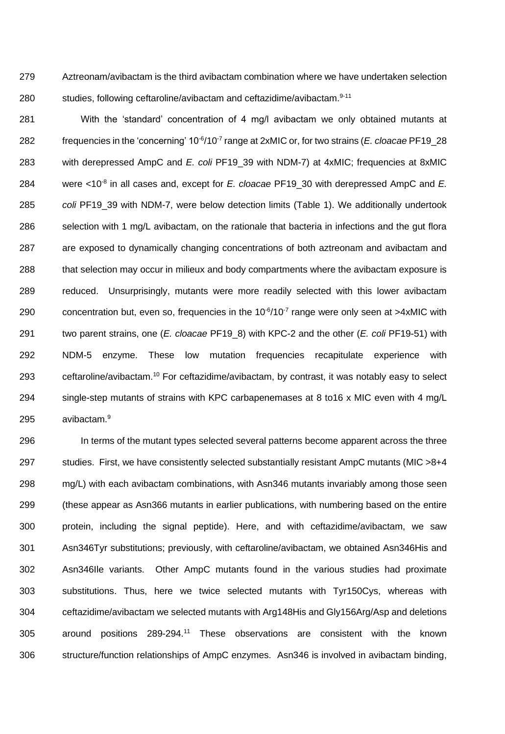Aztreonam/avibactam is the third avibactam combination where we have undertaken selection 280 studies, following ceftaroline/avibactam and ceftazidime/avibactam.<sup>9-11</sup>

 With the 'standard' concentration of 4 mg/l avibactam we only obtained mutants at 282 frequencies in the 'concerning' 10<sup>-6</sup>/10<sup>-7</sup> range at 2xMIC or, for two strains (*E. cloacae* PF19\_28 with derepressed AmpC and *E. coli* PF19\_39 with NDM-7) at 4xMIC; frequencies at 8xMIC 284 were <10<sup>-8</sup> in all cases and, except for *E. cloacae* PF19\_30 with derepressed AmpC and *E. coli* PF19\_39 with NDM-7, were below detection limits (Table 1). We additionally undertook 286 selection with 1 mg/L avibactam, on the rationale that bacteria in infections and the gut flora are exposed to dynamically changing concentrations of both aztreonam and avibactam and that selection may occur in milieux and body compartments where the avibactam exposure is reduced. Unsurprisingly, mutants were more readily selected with this lower avibactam 290 concentration but, even so, frequencies in the  $10^{-6}$ /10<sup>-7</sup> range were only seen at >4xMIC with two parent strains, one (*E. cloacae* PF19\_8) with KPC-2 and the other (*E. coli* PF19-51) with NDM-5 enzyme. These low mutation frequencies recapitulate experience with 293 ceftaroline/avibactam.<sup>10</sup> For ceftazidime/avibactam, by contrast, it was notably easy to select single-step mutants of strains with KPC carbapenemases at 8 to16 x MIC even with 4 mg/L avibactam.<sup>9</sup>

 In terms of the mutant types selected several patterns become apparent across the three studies. First, we have consistently selected substantially resistant AmpC mutants (MIC >8+4 mg/L) with each avibactam combinations, with Asn346 mutants invariably among those seen (these appear as Asn366 mutants in earlier publications, with numbering based on the entire protein, including the signal peptide). Here, and with ceftazidime/avibactam, we saw Asn346Tyr substitutions; previously, with ceftaroline/avibactam, we obtained Asn346His and Asn346Ile variants. Other AmpC mutants found in the various studies had proximate substitutions. Thus, here we twice selected mutants with Tyr150Cys, whereas with ceftazidime/avibactam we selected mutants with Arg148His and Gly156Arg/Asp and deletions 305 around positions 289-294.<sup>11</sup> These observations are consistent with the known structure/function relationships of AmpC enzymes. Asn346 is involved in avibactam binding,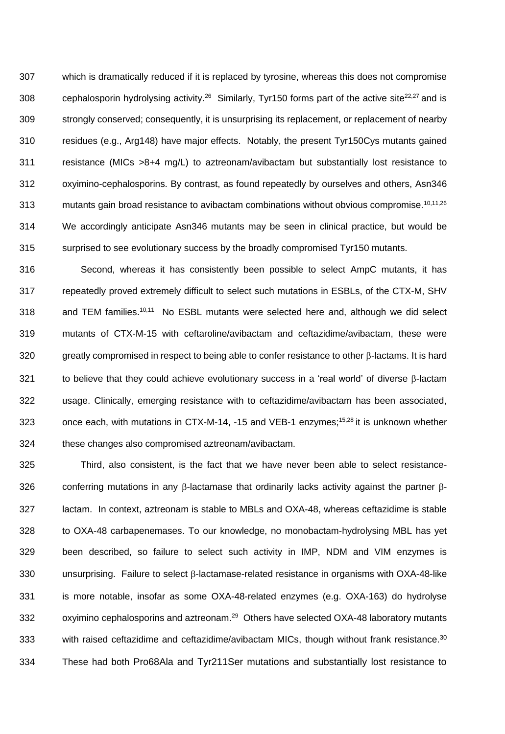which is dramatically reduced if it is replaced by tyrosine, whereas this does not compromise 308 cephalosporin hydrolysing activity.<sup>26</sup> Similarly, Tyr150 forms part of the active site<sup>22,27</sup> and is strongly conserved; consequently, it is unsurprising its replacement, or replacement of nearby residues (e.g., Arg148) have major effects. Notably, the present Tyr150Cys mutants gained resistance (MICs >8+4 mg/L) to aztreonam/avibactam but substantially lost resistance to oxyimino-cephalosporins. By contrast, as found repeatedly by ourselves and others, Asn346 313 mutants gain broad resistance to avibactam combinations without obvious compromise.<sup>10,11,26</sup> We accordingly anticipate Asn346 mutants may be seen in clinical practice, but would be surprised to see evolutionary success by the broadly compromised Tyr150 mutants.

 Second, whereas it has consistently been possible to select AmpC mutants, it has repeatedly proved extremely difficult to select such mutations in ESBLs, of the CTX-M, SHV 318 and TEM families.<sup>10,11</sup> No ESBL mutants were selected here and, although we did select mutants of CTX-M-15 with ceftaroline/avibactam and ceftazidime/avibactam, these were 320 greatly compromised in respect to being able to confer resistance to other  $\beta$ -lactams. It is hard 321 to believe that they could achieve evolutionary success in a 'real world' of diverse  $\beta$ -lactam usage. Clinically, emerging resistance with to ceftazidime/avibactam has been associated, 323 once each, with mutations in CTX-M-14, -15 and VEB-1 enzymes;<sup>15,28</sup> it is unknown whether these changes also compromised aztreonam/avibactam.

 Third, also consistent, is the fact that we have never been able to select resistance-326 conferring mutations in any  $\beta$ -lactamase that ordinarily lacks activity against the partner  $\beta$ - lactam. In context, aztreonam is stable to MBLs and OXA-48, whereas ceftazidime is stable to OXA-48 carbapenemases. To our knowledge, no monobactam-hydrolysing MBL has yet been described, so failure to select such activity in IMP, NDM and VIM enzymes is unsurprising. Failure to select  $\beta$ -lactamase-related resistance in organisms with OXA-48-like is more notable, insofar as some OXA-48-related enzymes (e.g. OXA-163) do hydrolyse 332 oxyimino cephalosporins and aztreonam.<sup>29</sup> Others have selected OXA-48 laboratory mutants 333 with raised ceftazidime and ceftazidime/avibactam MICs, though without frank resistance.<sup>30</sup> These had both Pro68Ala and Tyr211Ser mutations and substantially lost resistance to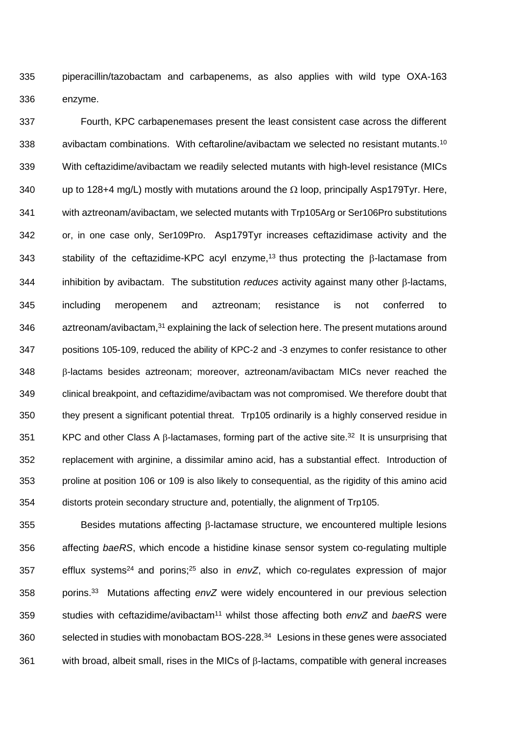piperacillin/tazobactam and carbapenems, as also applies with wild type OXA-163 enzyme.

 Fourth, KPC carbapenemases present the least consistent case across the different 338 avibactam combinations. With ceftaroline/avibactam we selected no resistant mutants.<sup>10</sup> With ceftazidime/avibactam we readily selected mutants with high-level resistance (MICs 340 up to 128+4 mg/L) mostly with mutations around the  $\Omega$  loop, principally Asp179Tyr. Here, with aztreonam/avibactam, we selected mutants with Trp105Arg or Ser106Pro substitutions or, in one case only, Ser109Pro. Asp179Tyr increases ceftazidimase activity and the 343 stability of the ceftazidime-KPC acyl enzyme,<sup>13</sup> thus protecting the  $\beta$ -lactamase from inhibition by avibactam. The substitution *reduces* activity against many other  $\beta$ -lactams, including meropenem and aztreonam; resistance is not conferred to 346 aztreonam/avibactam,<sup>31</sup> explaining the lack of selection here. The present mutations around positions 105-109, reduced the ability of KPC-2 and -3 enzymes to confer resistance to other  $\beta$ -lactams besides aztreonam; moreover, aztreonam/avibactam MICs never reached the clinical breakpoint, and ceftazidime/avibactam was not compromised. We therefore doubt that they present a significant potential threat. Trp105 ordinarily is a highly conserved residue in 351 KPC and other Class A  $\beta$ -lactamases, forming part of the active site.<sup>32</sup> It is unsurprising that replacement with arginine, a dissimilar amino acid, has a substantial effect. Introduction of proline at position 106 or 109 is also likely to consequential, as the rigidity of this amino acid distorts protein secondary structure and, potentially, the alignment of Trp105.

 Besides mutations affecting  $\beta$ -lactamase structure, we encountered multiple lesions affecting *baeRS*, which encode a histidine kinase sensor system co-regulating multiple 357 efflux systems<sup>24</sup> and porins;<sup>25</sup> also in envZ, which co-regulates expression of major porins.<sup>33</sup> Mutations affecting *envZ* were widely encountered in our previous selection studies with ceftazidime/avibactam<sup>11</sup> whilst those affecting both *envZ* and *baeRS* were 360 selected in studies with monobactam BOS-228.<sup>34</sup> Lesions in these genes were associated with broad, albeit small, rises in the MICs of  $\beta$ -lactams, compatible with general increases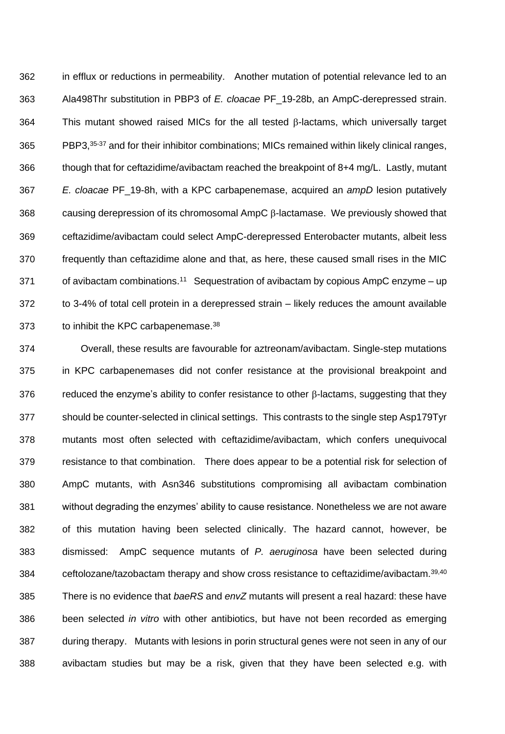in efflux or reductions in permeability. Another mutation of potential relevance led to an Ala498Thr substitution in PBP3 of *E. cloacae* PF\_19-28b, an AmpC-derepressed strain. This mutant showed raised MICs for the all tested  $\beta$ -lactams, which universally target 365 PBP3, <sup>35-37</sup> and for their inhibitor combinations; MICs remained within likely clinical ranges, though that for ceftazidime/avibactam reached the breakpoint of 8+4 mg/L. Lastly, mutant *E. cloacae* PF\_19-8h, with a KPC carbapenemase, acquired an *ampD* lesion putatively 368 causing derepression of its chromosomal  $AmpC \beta$ -lactamase. We previously showed that ceftazidime/avibactam could select AmpC-derepressed Enterobacter mutants, albeit less frequently than ceftazidime alone and that, as here, these caused small rises in the MIC 371 of avibactam combinations.<sup>11</sup> Sequestration of avibactam by copious AmpC enzyme – up to 3-4% of total cell protein in a derepressed strain – likely reduces the amount available 373 to inhibit the KPC carbapenemase.<sup>38</sup>

 Overall, these results are favourable for aztreonam/avibactam. Single-step mutations in KPC carbapenemases did not confer resistance at the provisional breakpoint and 376 reduced the enzyme's ability to confer resistance to other  $\beta$ -lactams, suggesting that they should be counter-selected in clinical settings. This contrasts to the single step Asp179Tyr mutants most often selected with ceftazidime/avibactam, which confers unequivocal resistance to that combination. There does appear to be a potential risk for selection of AmpC mutants, with Asn346 substitutions compromising all avibactam combination without degrading the enzymes' ability to cause resistance. Nonetheless we are not aware of this mutation having been selected clinically. The hazard cannot, however, be dismissed: AmpC sequence mutants of *P. aeruginosa* have been selected during 384 ceftolozane/tazobactam therapy and show cross resistance to ceftazidime/avibactam.<sup>39,40</sup> There is no evidence that *baeRS* and *envZ* mutants will present a real hazard: these have been selected *in vitro* with other antibiotics, but have not been recorded as emerging during therapy. Mutants with lesions in porin structural genes were not seen in any of our avibactam studies but may be a risk, given that they have been selected e.g. with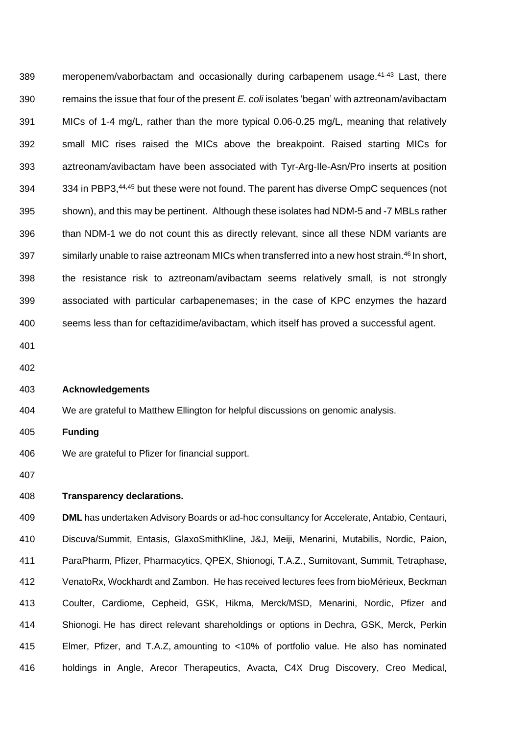389 meropenem/vaborbactam and occasionally during carbapenem usage.<sup>41-43</sup> Last, there remains the issue that four of the present *E. coli* isolates 'began' with aztreonam/avibactam MICs of 1-4 mg/L, rather than the more typical 0.06-0.25 mg/L, meaning that relatively small MIC rises raised the MICs above the breakpoint. Raised starting MICs for aztreonam/avibactam have been associated with Tyr-Arg-Ile-Asn/Pro inserts at position 394 334 in PBP3,<sup>44,45</sup> but these were not found. The parent has diverse OmpC sequences (not shown), and this may be pertinent. Although these isolates had NDM-5 and -7 MBLs rather than NDM-1 we do not count this as directly relevant, since all these NDM variants are 397 similarly unable to raise aztreonam MICs when transferred into a new host strain.<sup>46</sup> In short, the resistance risk to aztreonam/avibactam seems relatively small, is not strongly associated with particular carbapenemases; in the case of KPC enzymes the hazard seems less than for ceftazidime/avibactam, which itself has proved a successful agent.

- 
- 

## **Acknowledgements**

- We are grateful to Matthew Ellington for helpful discussions on genomic analysis.
- **Funding**
- We are grateful to Pfizer for financial support.
- 

### **Transparency declarations.**

 **DML** has undertaken Advisory Boards or ad-hoc consultancy for Accelerate, Antabio, Centauri, Discuva/Summit, Entasis, GlaxoSmithKline, J&J, Meiji, Menarini, Mutabilis, Nordic, Paion, ParaPharm, Pfizer, Pharmacytics, QPEX, Shionogi, T.A.Z., Sumitovant, Summit, Tetraphase, VenatoRx, Wockhardt and Zambon. He has received lectures fees from bioMérieux, Beckman Coulter, Cardiome, Cepheid, GSK, Hikma, Merck/MSD, Menarini, Nordic, Pfizer and Shionogi. He has direct relevant shareholdings or options in Dechra, GSK, Merck, Perkin Elmer, Pfizer, and T.A.Z, amounting to <10% of portfolio value. He also has nominated holdings in Angle, Arecor Therapeutics, Avacta, C4X Drug Discovery, Creo Medical,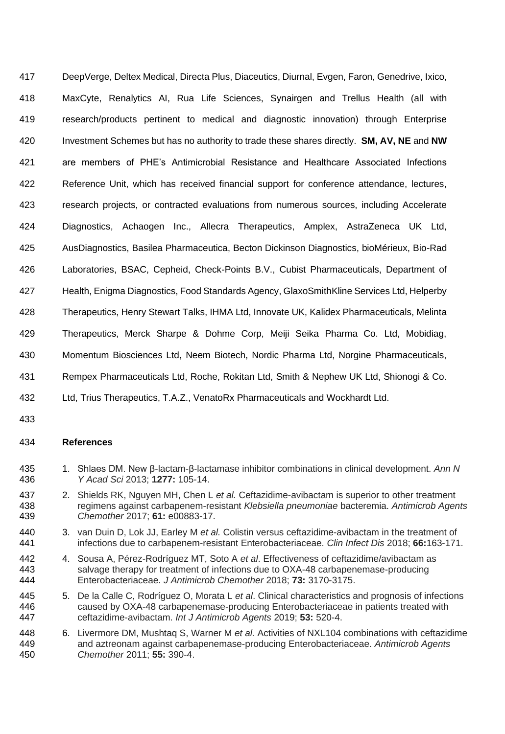DeepVerge, Deltex Medical, Directa Plus, Diaceutics, Diurnal, Evgen, Faron, Genedrive, Ixico, MaxCyte, Renalytics AI, Rua Life Sciences, Synairgen and Trellus Health (all with research/products pertinent to medical and diagnostic innovation) through Enterprise Investment Schemes but has no authority to trade these shares directly. **SM, AV, NE** and **NW** are members of PHE's Antimicrobial Resistance and Healthcare Associated Infections Reference Unit, which has received financial support for conference attendance, lectures, research projects, or contracted evaluations from numerous sources, including Accelerate Diagnostics, Achaogen Inc., Allecra Therapeutics, Amplex, AstraZeneca UK Ltd, AusDiagnostics, Basilea Pharmaceutica, Becton Dickinson Diagnostics, bioMérieux, Bio-Rad Laboratories, BSAC, Cepheid, Check-Points B.V., Cubist Pharmaceuticals, Department of Health, Enigma Diagnostics, Food Standards Agency, GlaxoSmithKline Services Ltd, Helperby Therapeutics, Henry Stewart Talks, IHMA Ltd, Innovate UK, Kalidex Pharmaceuticals, Melinta Therapeutics, Merck Sharpe & Dohme Corp, Meiji Seika Pharma Co. Ltd, Mobidiag, Momentum Biosciences Ltd, Neem Biotech, Nordic Pharma Ltd, Norgine Pharmaceuticals, Rempex Pharmaceuticals Ltd, Roche, Rokitan Ltd, Smith & Nephew UK Ltd, Shionogi & Co. Ltd, Trius Therapeutics, T.A.Z., VenatoRx Pharmaceuticals and Wockhardt Ltd.

## **References**

- 1. Shlaes DM. New β-lactam-β-lactamase inhibitor combinations in clinical development. *Ann N Y Acad Sci* 2013; **1277:** 105-14.
- 2. Shields RK, Nguyen MH, Chen L *et al.* Ceftazidime-avibactam is superior to other treatment regimens against carbapenem-resistant *Klebsiella pneumoniae* bacteremia. *Antimicrob Agents Chemother* 2017; **61:** e00883-17.
- 3. van Duin D, Lok JJ, Earley M *et al.* Colistin versus ceftazidime-avibactam in the treatment of infections due to carbapenem-resistant Enterobacteriaceae. *Clin Infect Dis* 2018; **66:**163-171.
- 4. Sousa A, Pérez-Rodríguez MT, Soto A *et al*. Effectiveness of ceftazidime/avibactam as salvage therapy for treatment of infections due to OXA-48 carbapenemase-producing Enterobacteriaceae. *J Antimicrob Chemother* 2018; **73:** 3170-3175.
- 5. De la Calle C, Rodríguez O, Morata L *et al*. Clinical characteristics and prognosis of infections caused by OXA-48 carbapenemase-producing Enterobacteriaceae in patients treated with ceftazidime-avibactam. *Int J Antimicrob Agents* 2019; **53:** 520-4.
- 6. Livermore DM, Mushtaq S, Warner M *et al.* Activities of NXL104 combinations with ceftazidime and aztreonam against carbapenemase-producing Enterobacteriaceae. *Antimicrob Agents Chemother* 2011; **55:** 390-4.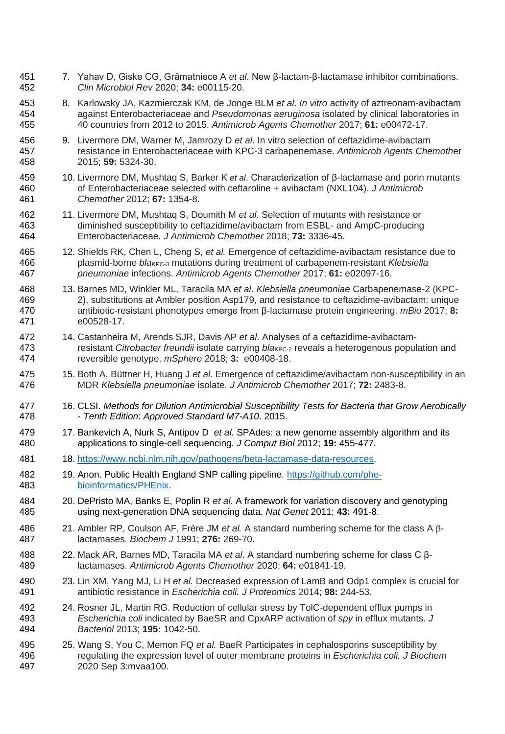- 7. Yahav D, Giske CG, Grāmatniece A *et al*. New β-lactam-β-lactamase inhibitor combinations. *Clin Microbiol Rev* 2020; **34:** e00115-20.
- 8. Karlowsky JA, Kazmierczak KM, de Jonge BLM *et al*. *In vitro* activity of aztreonam-avibactam against Enterobacteriaceae and *Pseudomonas aeruginosa* isolated by clinical laboratories in 40 countries from 2012 to 2015. *Antimicrob Agents Chemother* 2017; **61:** e00472-17.
- 9. Livermore DM, Warner M, Jamrozy D *et al*. In vitro selection of ceftazidime-avibactam resistance in Enterobacteriaceae with KPC-3 carbapenemase. *Antimicrob Agents Chemoth*er 2015; **59:** 5324-30.
- 10. Livermore DM, Mushtaq S, Barker K *et al*. Characterization of β-lactamase and porin mutants of Enterobacteriaceae selected with ceftaroline + avibactam (NXL104). *J Antimicrob Chemother* 2012; **67:** 1354-8.
- 11. Livermore DM, Mushtaq S, Doumith M *et al*. Selection of mutants with resistance or diminished susceptibility to ceftazidime/avibactam from ESBL- and AmpC-producing Enterobacteriaceae. *J Antimicrob Chemother* 2018; **73:** 3336-45.
- 12. Shields RK, Chen L, Cheng S, *et al.* Emergence of ceftazidime-avibactam resistance due to 466 plasmid-borne *bla*<sub>KPC-3</sub> mutations during treatment of carbapenem-resistant *Klebsiella pneumoniae* infections. *Antimicrob Agents Chemother* 2017; **61:** e02097-16.
- 13. Barnes MD, Winkler ML, Taracila MA *et al*. *Klebsiella pneumoniae* Carbapenemase-2 (KPC- 2), substitutions at Ambler position Asp179, and resistance to ceftazidime-avibactam: unique antibiotic-resistant phenotypes emerge from β-lactamase protein engineering. *mBio* 2017; **8:** e00528-17.
- 14. Castanheira M, Arends SJR, Davis AP *et al*. Analyses of a ceftazidime-avibactam-473 resistant *Citrobacter freundii* isolate carrying *bla*<sub>KPC-2</sub> reveals a heterogenous population and reversible genotype. *mSphere* 2018; **3:** e00408-18.
- 15. Both A, Büttner H, Huang J *et al.* Emergence of ceftazidime/avibactam non-susceptibility in an MDR *Klebsiella pneumoniae* isolate. *J Antimicrob Chemother* 2017; **72:** 2483-8.
- 16. CLSI. *Methods for Dilution Antimicrobial Susceptibility Tests for Bacteria that Grow Aerobically - Tenth Edition*: *Approved Standard M7-A10*. 2015.
- 17. Bankevich A, Nurk S, Antipov D *et al.* SPAdes: a new genome assembly algorithm and its applications to single-cell sequencing. *J Comput Biol* 2012; **19:** 455-477.
- 18. [https://www.ncbi.nlm.nih.gov/pathogens/beta-lactamase-data-resources.](https://www.ncbi.nlm.nih.gov/pathogens/beta-lactamase-data-resources)
- 482 19. Anon. Public Health England SNP calling pipeline. [https://github.com/phe-](https://github.com/phe-bioinformatics/PHEnix)[bioinformatics/PHEnix.](https://github.com/phe-bioinformatics/PHEnix)
- 20. DePristo MA, Banks E, Poplin R *et al*. A framework for variation discovery and genotyping using next-generation DNA sequencing data. *Nat Genet* 2011; **43:** 491-8.
- 486 21. Ambler RP, Coulson AF, Frère JM *et al.* A standard numbering scheme for the class A β-lactamases. *Biochem J* 1991; **276:** 269-70.
- 22. Mack AR, Barnes MD, Taracila MA *et al*. A standard numbering scheme for class C β-lactamases. *Antimicrob Agents Chemother* 2020; **64:** e01841-19.
- 23. Lin XM, Yang MJ, Li H *et al.* Decreased expression of LamB and Odp1 complex is crucial for antibiotic resistance in *Escherichia coli. J Proteomics* 2014; **98:** 244-53.
- 24. Rosner JL, Martin RG. Reduction of cellular stress by TolC-dependent efflux pumps in *Escherichia coli* indicated by BaeSR and CpxARP activation of *spy* in efflux mutants. *J Bacteriol* 2013; **195:** 1042-50.
- 25. Wang S, You C, Memon FQ *et al.* BaeR Participates in cephalosporins susceptibility by regulating the expression level of outer membrane proteins in *Escherichia coli. J Biochem* 2020 Sep 3:mvaa100.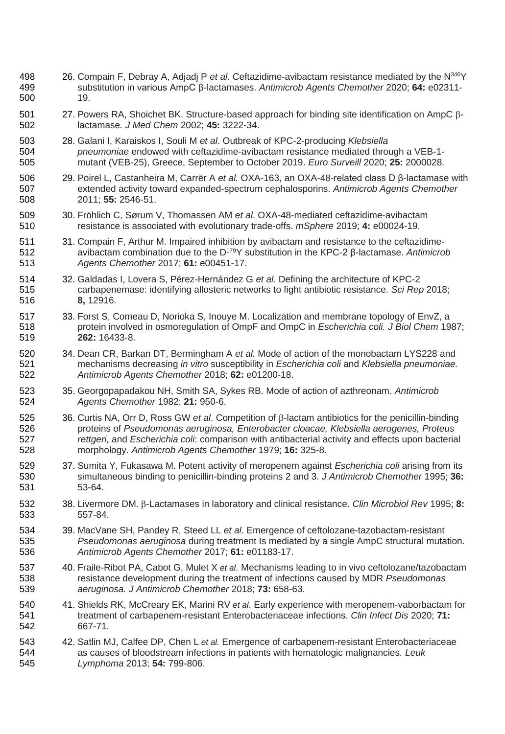- 26. Compain F, Debray A, Adjadj P *et al*. Ceftazidime-avibactam resistance mediated by the N<sup>346</sup> Y substitution in various AmpC β-lactamases. *Antimicrob Agents Chemother* 2020; **64:** e02311- 19.
- 501 27. Powers RA, Shoichet BK. Structure-based approach for binding site identification on AmpC  $\beta$ -lactamase*. J Med Chem* 2002; **45:** 3222-34.
- 28. Galani I, Karaiskos I, Souli M *et al*. Outbreak of KPC-2-producing *Klebsiella pneumoniae* endowed with ceftazidime-avibactam resistance mediated through a VEB-1- mutant (VEB-25), Greece, September to October 2019. *Euro Surveill* 2020; **25:** 2000028.
- 29. Poirel L, Castanheira M, Carrër A *et al.* OXA-163, an OXA-48-related class D β-lactamase with extended activity toward expanded-spectrum cephalosporins. *Antimicrob Agents Chemother* 2011; **55:** 2546-51.
- 30. Fröhlich C, Sørum V, Thomassen AM *et al*. OXA-48-mediated ceftazidime-avibactam resistance is associated with evolutionary trade-offs. *mSphere* 2019; **4:** e00024-19.
- 31. Compain F, Arthur M. Impaired inhibition by avibactam and resistance to the ceftazidimeavibactam combination due to the D<sup>179</sup> Y substitution in the KPC-2 β-lactamase. *Antimicrob Agents Chemother* 2017; **61:** e00451-17.
- 32. Galdadas I, Lovera S, Pérez-Hernández G *et al.* Defining the architecture of KPC-2 carbapenemase: identifying allosteric networks to fight antibiotic resistance. *Sci Rep* 2018; **8,** 12916.
- 33. Forst S, Comeau D, Norioka S, Inouye M. Localization and membrane topology of EnvZ, a protein involved in osmoregulation of OmpF and OmpC in *Escherichia coli. J Biol Chem* 1987; **262:** 16433-8.
- 34. Dean CR, Barkan DT, Bermingham A *et al.* Mode of action of the monobactam LYS228 and mechanisms decreasing *in vitro* susceptibility in *Escherichia coli* and *Klebsiella pneumoniae. Antimicrob Agents Chemother* 2018; **62:** e01200-18.
- 35. Georgopapadakou NH, Smith SA, Sykes RB. Mode of action of azthreonam. *Antimicrob Agents Chemother* 1982; **21:** 950-6.
- 525 36. Curtis NA, Orr D, Ross GW *et al.* Competition of  $\beta$ -lactam antibiotics for the penicillin-binding proteins of *Pseudomonas aeruginosa, Enterobacter cloacae, Klebsiella aerogenes, Proteus rettgeri,* and *Escherichia coli*: comparison with antibacterial activity and effects upon bacterial morphology. *Antimicrob Agents Chemother* 1979; **16:** 325-8.
- 37. Sumita Y, Fukasawa M. Potent activity of meropenem against *Escherichia coli* arising from its simultaneous binding to penicillin-binding proteins 2 and 3. *J Antimicrob Chemother* 1995; **36:** 53-64.
- 532 38. Livermore DM.  $\beta$ -Lactamases in laboratory and clinical resistance. *Clin Microbiol Rev* 1995; **8:** 557-84.
- 39. MacVane SH, Pandey R, Steed LL *et al*. Emergence of ceftolozane-tazobactam-resistant *Pseudomonas aeruginosa* during treatment Is mediated by a single AmpC structural mutation. *Antimicrob Agents Chemother* 2017; **61:** e01183-17.
- 40. Fraile-Ribot PA, Cabot G, Mulet X *et al*. Mechanisms leading to in vivo ceftolozane/tazobactam resistance development during the treatment of infections caused by MDR *Pseudomonas aeruginosa. J Antimicrob Chemother* 2018; **73:** 658-63.
- 41. Shields RK, McCreary EK, Marini RV *et al*. Early experience with meropenem-vaborbactam for treatment of carbapenem-resistant Enterobacteriaceae infections. *Clin Infect Dis* 2020; **71:** 667-71.
- 42. Satlin MJ, Calfee DP, Chen L *et al.* Emergence of carbapenem-resistant Enterobacteriaceae as causes of bloodstream infections in patients with hematologic malignancies*. Leuk Lymphoma* 2013; **54:** 799-806.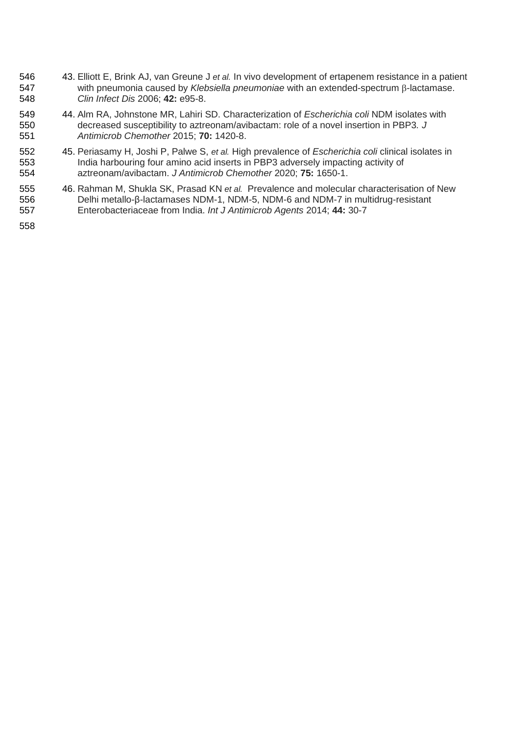- 43. Elliott E, Brink AJ, van Greune J *et al.* In vivo development of ertapenem resistance in a patient 547 with pneumonia caused by Klebsiella pneumoniae with an extended-spectrum β-lactamase. *Clin Infect Dis* 2006; **42:** e95-8.
- 44. Alm RA, Johnstone MR, Lahiri SD. Characterization of *Escherichia coli* NDM isolates with decreased susceptibility to aztreonam/avibactam: role of a novel insertion in PBP3*. J Antimicrob Chemother* 2015; **70:** 1420-8.
- 45. Periasamy H, Joshi P, Palwe S, *et al.* High prevalence of *Escherichia coli* clinical isolates in India harbouring four amino acid inserts in PBP3 adversely impacting activity of aztreonam/avibactam. *J Antimicrob Chemother* 2020; **75:** 1650-1.
- 46. Rahman M, Shukla SK, Prasad KN *et al.* Prevalence and molecular characterisation of New Delhi metallo-β-lactamases NDM-1, NDM-5, NDM-6 and NDM-7 in multidrug-resistant Enterobacteriaceae from India. *Int J Antimicrob Agents* 2014; **44:** 30-7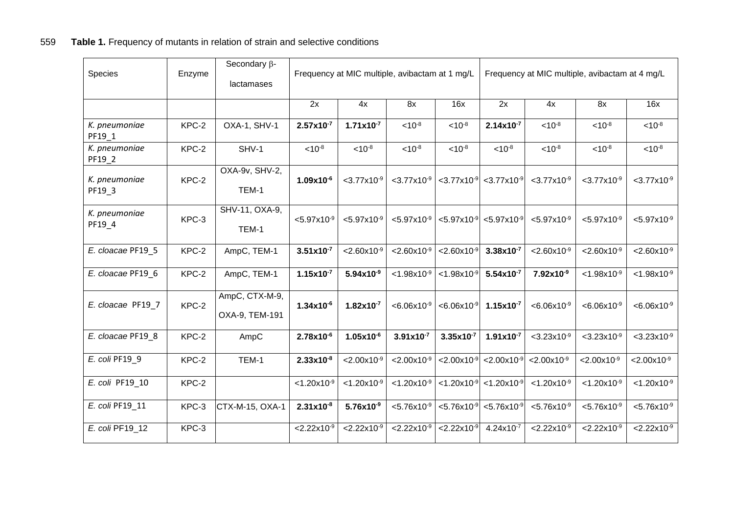| Species                 | Enzyme  | Secondary $\beta$ -<br>lactamases |                         | Frequency at MIC multiple, avibactam at 1 mg/L |                                    |                         |                                    |                                    | Frequency at MIC multiple, avibactam at 4 mg/L |                           |
|-------------------------|---------|-----------------------------------|-------------------------|------------------------------------------------|------------------------------------|-------------------------|------------------------------------|------------------------------------|------------------------------------------------|---------------------------|
|                         |         |                                   | 2x                      | 4x                                             | 8x                                 | 16x                     | 2x                                 | 4x                                 | 8x                                             | 16x                       |
| K. pneumoniae<br>PF19_1 | KPC-2   | OXA-1, SHV-1                      | $2.57x10^{-7}$          | $1.71x10^{-7}$                                 | $< 10^{-8}$                        | $< 10^{-8}$             | $2.14x10^{-7}$                     | $< 10^{-8}$                        | $< 10^{-8}$                                    | $< 10^{-8}$               |
| K. pneumoniae<br>PF19_2 | KPC-2   | SHV-1                             | $< 10^{-8}$             | $< 10^{-8}$                                    | $< 10^{-8}$                        | $< 10^{-8}$             | $< 10^{-8}$                        | $< 10^{-8}$                        | $< 10^{-8}$                                    | $< 10^{-8}$               |
| K. pneumoniae<br>PF19_3 | KPC-2   | OXA-9v, SHV-2,<br>TEM-1           | $1.09x10^{-6}$          | $<$ 3.77 $x10^{-9}$                            | $<$ 3.77 $\times$ 10 <sup>-9</sup> | $< 3.77 \times 10^{-9}$ | $<$ 3.77 $\times$ 10 <sup>-9</sup> | $<$ 3.77 $\times$ 10 <sup>-9</sup> | $<$ 3.77 $\times$ 10 <sup>-9</sup>             | $<$ 3.77 $x10^{-9}$       |
| K. pneumoniae<br>PF19_4 | KPC-3   | SHV-11, OXA-9,<br>TEM-1           | $< 5.97 \times 10^{-9}$ | $< 5.97 \times 10^{-9}$                        | $< 5.97 \times 10^{-9}$            | $< 5.97 \times 10^{-9}$ | $< 5.97 \times 10^{-9}$            | $< 5.97 \times 10^{-9}$            | $< 5.97x10^{-9}$                               | $< 5.97 \times 10^{-9}$   |
| E. cloacae PF19_5       | KPC-2   | AmpC, TEM-1                       | $3.51 \times 10^{-7}$   | $< 2.60 \times 10^{-9}$                        | $< 2.60 \times 10^{-9}$            | $< 2.60 \times 10^{-9}$ | $3.38x10^{-7}$                     | $< 2.60 \times 10^{-9}$            | $< 2.60 \times 10^{-9}$                        | $< 2.60 \times 10^{-9}$   |
| E. cloacae PF19_6       | KPC-2   | AmpC, TEM-1                       | $1.15x10^{-7}$          | $5.94x10^{-9}$                                 | $<$ 1.98x10-9                      | $< 1.98 \times 10^{-9}$ | $5.54x10^{-7}$                     | $7.92x10^{-9}$                     | $<$ 1.98x10 <sup>-9</sup>                      | $< 1.98 \times 10^{-9}$   |
| E. cloacae PF19 7       | KPC-2   | AmpC, CTX-M-9,<br>OXA-9, TEM-191  | $1.34x10^{-6}$          | $1.82 \times 10^{-7}$                          | $< 6.06 \times 10^{-9}$            | $< 6.06 \times 10^{-9}$ | $1.15x10^{-7}$                     | $< 6.06 \times 10^{-9}$            | $< 6.06 \times 10^{-9}$                        | $< 6.06 \times 10^{-9}$   |
| E. cloacae PF19_8       | KPC-2   | AmpC                              | $2.78x10^{-6}$          | $1.05x10^{-6}$                                 | $3.91x10^{-7}$                     | $3.35x10^{-7}$          | $1.91x10^{-7}$                     | $<$ 3.23x10 <sup>-9</sup>          | $<$ 3.23x10 <sup>-9</sup>                      | $<$ 3.23x10 <sup>-9</sup> |
| E. coli PF19 9          | KPC-2   | TEM-1                             | $2.33x10^{-8}$          | $< 2.00 \times 10^{-9}$                        | $< 2.00 \times 10^{-9}$            | $< 2.00 \times 10^{-9}$ | $< 2.00 \times 10^{-9}$            | $< 2.00 \times 10^{-9}$            | $< 2.00 \times 10^{-9}$                        | $< 2.00 \times 10^{-9}$   |
| E. coli PF19_10         | KPC-2   |                                   | $< 1.20 \times 10^{-9}$ | $< 1.20 \times 10^{-9}$                        | $< 1.20 \times 10^{-9}$            | $< 1.20 \times 10^{-9}$ | $<$ 1.20 $\times$ 10 <sup>-9</sup> | $< 1.20 \times 10^{-9}$            | $< 1.20 \times 10^{-9}$                        | $< 1.20 \times 10^{-9}$   |
| E. coli PF19 11         | KPC-3   | CTX-M-15, OXA-1                   | $2.31x10^{-8}$          | $5.76x10^{-9}$                                 | $< 5.76 \times 10^{-9}$            | $< 5.76 \times 10^{-9}$ | $< 5.76 \times 10^{-9}$            | $< 5.76 \times 10^{-9}$            | $< 5.76 \times 10^{-9}$                        | $< 5.76 \times 10^{-9}$   |
| E. coli PF19_12         | $KPC-3$ |                                   | $2.22 \times 10^{-9}$   | $< 2.22 \times 10^{-9}$                        | $< 2.22 \times 10^{-9}$            | $< 2.22 \times 10^{-9}$ | $4.24 \times 10^{-7}$              | $2.22 \times 10^{-9}$              | $< 2.22 \times 10^{-9}$                        | $< 2.22 \times 10^{-9}$   |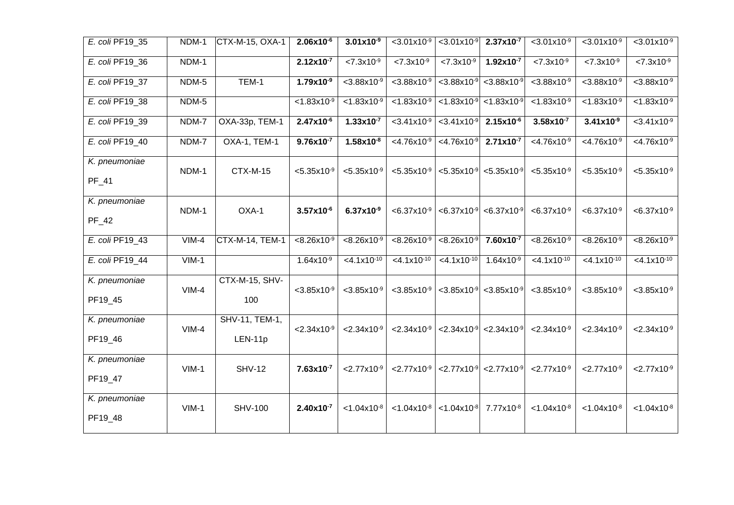| E. coli PF19_35 | NDM-1   | CTX-M-15, OXA-1        | $2.06x10^{-6}$                     | $3.01x10^{-9}$            | $<$ 3.01x10 $\overline{9}$ | $<$ 3.01x10 <sup>-9</sup> | $2.37x10^{-7}$                     | $<$ 3.01x10 $-9$                   | $<$ 3.01x10 $-9$                   | $<$ 3.01x10 <sup>-9</sup>          |
|-----------------|---------|------------------------|------------------------------------|---------------------------|----------------------------|---------------------------|------------------------------------|------------------------------------|------------------------------------|------------------------------------|
| E. coli PF19_36 | NDM-1   |                        | $2.12x10^{-7}$                     | $< 7.3 \times 10^{-9}$    | $< 7.3 \times 10^{-9}$     | $< 7.3 \times 10^{-9}$    | $1.92x10^{-7}$                     | $< 7.3 \times 10^{-9}$             | $< 7.3 \times 10^{-9}$             | $< 7.3 \times 10^{-9}$             |
| E. coli PF19_37 | NDM-5   | TEM-1                  | $1.79x10^{-9}$                     | $< 3.88 \times 10^{-9}$   | $< 3.88 \times 10^{-9}$    | $<$ 3.88x10 <sup>-9</sup> | $< 3.88 \times 10^{-9}$            | $< 3.88 \times 10^{-9}$            | $< 3.88 \times 10^{-9}$            | $< 3.88 \times 10^{-9}$            |
| E. coli PF19_38 | NDM-5   |                        | $< 1.83 \times 10^{-9}$            | $< 1.83 \times 10^{-9}$   | $< 1.83 \times 10^{-9}$    | $< 1.83 \times 10^{-9}$   | $< 1.83 \times 10^{-9}$            | $< 1.83 \times 10^{-9}$            | $< 1.83 \times 10^{-9}$            | $< 1.83 \times 10^{-9}$            |
| E. coli PF19_39 | NDM-7   | OXA-33p, TEM-1         | $2.47x10^{-6}$                     | $1.33x10^{-7}$            | $<$ 3.41x10 <sup>-9</sup>  | $<$ 3.41x10 <sup>-9</sup> | $2.15x10^{-6}$                     | $3.58x10^{-7}$                     | $3.41x10^{-9}$                     | $<$ 3.41x10 <sup>-9</sup>          |
| E. coli PF19 40 | NDM-7   | OXA-1, TEM-1           | $9.76x10^{-7}$                     | $1.58x10^{-8}$            | $<4.76x10^{-9}$            | $< 4.76 \times 10^{-9}$   | $2.71x10^{-7}$                     | $< 4.76 \times 10^{-9}$            | $< 4.76 \times 10^{-9}$            | $< 4.76x10^{-9}$                   |
| K. pneumoniae   | NDM-1   | <b>CTX-M-15</b>        | $< 5.35 \times 10^{-9}$            | $< 5.35 \times 10^{-9}$   | $< 5.35 \times 10^{-9}$    | $< 5.35 \times 10^{-9}$   | $< 5.35 \times 10^{-9}$            | $< 5.35 \times 10^{-9}$            | $< 5.35 \times 10^{-9}$            | $< 5.35 \times 10^{-9}$            |
| PF_41           |         |                        |                                    |                           |                            |                           |                                    |                                    |                                    |                                    |
| K. pneumoniae   | NDM-1   | OXA-1                  | $3.57x10^{-6}$                     | $6.37x10^{-9}$            | $< 6.37 \times 10^{-9}$    | $< 6.37 \times 10^{-9}$   | $< 6.37 \times 10^{-9}$            | $< 6.37 \times 10^{-9}$            | $< 6.37 \times 10^{-9}$            | $< 6.37 \times 10^{-9}$            |
| $PF_42$         |         |                        |                                    |                           |                            |                           |                                    |                                    |                                    |                                    |
| E. coli PF19_43 | $VIM-4$ | <b>CTX-M-14, TEM-1</b> | $< 8.26 \times 10^{-9}$            | $< 8.26 \times 10^{-9}$   | $< 8.26 \times 10^{-9}$    | $< 8.26 \times 10^{-9}$   | 7.60x10 <sup>-7</sup>              | $< 8.26 \times 10^{-9}$            | $< 8.26 \times 10^{-9}$            | $< 8.26 \times 10^{-9}$            |
| E. coli PF19_44 | $VIM-1$ |                        | $1.64x10^{-9}$                     | $<$ 4.1x10 $-10$          | $< 4.1 \times 10^{-10}$    | $< 4.1x10^{-10}$          | $1.64x10^{-9}$                     | $<$ 4.1x10 $10$                    | $<$ 4.1x10 <sup>-10</sup>          | $< 4.1x10^{-10}$                   |
| K. pneumoniae   | $VIM-4$ | CTX-M-15, SHV-         | $<$ 3.85 $\times$ 10 <sup>-9</sup> | $<$ 3.85x10 <sup>-9</sup> | $<$ 3.85x10 <sup>-9</sup>  | $<$ 3.85x10 <sup>-9</sup> | $<$ 3.85 $\times$ 10 <sup>-9</sup> | $<$ 3.85 $\times$ 10 <sup>-9</sup> | $<$ 3.85 $\times$ 10 <sup>-9</sup> | $<$ 3.85 $\times$ 10 <sup>-9</sup> |
| PF19_45         |         | 100                    |                                    |                           |                            |                           |                                    |                                    |                                    |                                    |
| K. pneumoniae   | $VIM-4$ | SHV-11, TEM-1,         | $< 2.34 \times 10^{-9}$            | $< 2.34 \times 10^{-9}$   | $< 2.34 \times 10^{-9}$    | $< 2.34 \times 10^{-9}$   | $< 2.34 \times 10^{-9}$            | $< 2.34 \times 10^{-9}$            | $< 2.34 \times 10^{-9}$            | $< 2.34 \times 10^{-9}$            |
| PF19_46         |         | $LEN-11p$              |                                    |                           |                            |                           |                                    |                                    |                                    |                                    |
| K. pneumoniae   | $VIM-1$ | <b>SHV-12</b>          | $7.63 \times 10^{-7}$              | $< 2.77 \times 10^{-9}$   | $< 2.77 \times 10^{-9}$    | $< 2.77 \times 10^{-9}$   | $< 2.77 \times 10^{-9}$            | $< 2.77 \times 10^{-9}$            | $< 2.77 \times 10^{-9}$            | $< 2.77 \times 10^{-9}$            |
| PF19_47         |         |                        |                                    |                           |                            |                           |                                    |                                    |                                    |                                    |
| K. pneumoniae   | $VIM-1$ | <b>SHV-100</b>         | $2.40x10^{-7}$                     | $< 1.04 \times 10^{-8}$   | $< 1.04 \times 10^{-8}$    | $< 1.04 \times 10^{-8}$   | 7.77x10-8                          | $< 1.04 \times 10^{-8}$            | $< 1.04 \times 10^{-8}$            | $< 1.04 \times 10^{-8}$            |
| PF19_48         |         |                        |                                    |                           |                            |                           |                                    |                                    |                                    |                                    |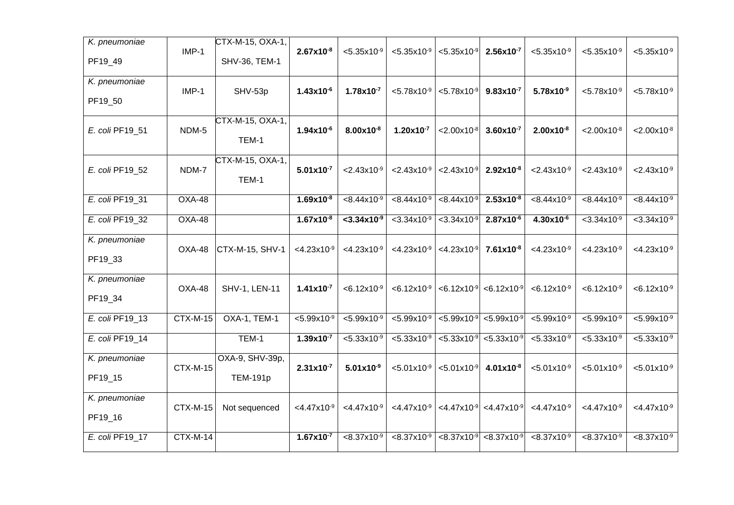| K. pneumoniae   |                 | CTX-M-15, OXA-1, |                           |                           |                           |                           |                                             |                           |                                    |                           |
|-----------------|-----------------|------------------|---------------------------|---------------------------|---------------------------|---------------------------|---------------------------------------------|---------------------------|------------------------------------|---------------------------|
|                 | $IMP-1$         |                  | $2.67x10^{-8}$            | $< 5.35 \times 10^{-9}$   | $< 5.35 \times 10^{-9}$   | $< 5.35 \times 10^{-9}$   | $2.56x10^{-7}$                              | $< 5.35 \times 10^{-9}$   | $< 5.35 \times 10^{-9}$            | $< 5.35 \times 10^{-9}$   |
| PF19_49         |                 | SHV-36, TEM-1    |                           |                           |                           |                           |                                             |                           |                                    |                           |
| K. pneumoniae   |                 |                  |                           |                           |                           |                           |                                             |                           |                                    |                           |
| PF19_50         | $IMP-1$         | SHV-53p          | $1.43x10^{-6}$            | $1.78x10^{-7}$            | $< 5.78 \times 10^{-9}$   | $< 5.78 \times 10^{-9}$   | $9.83 \times 10^{-7}$                       | $5.78x10^{-9}$            | $< 5.78 \times 10^{-9}$            | $< 5.78 \times 10^{-9}$   |
|                 |                 |                  |                           |                           |                           |                           |                                             |                           |                                    |                           |
|                 | NDM-5           | CTX-M-15, OXA-1, | $1.94x10^{-6}$            | $8.00x10^{-8}$            | $1.20x10^{-7}$            |                           | $3.60x10^{-7}$                              | $2.00x10^{-8}$            | $< 2.00 \times 10^{-8}$            | $< 2.00 \times 10^{-8}$   |
| E. coli PF19_51 |                 | TEM-1            |                           |                           |                           | $< 2.00 \times 10^{-8}$   |                                             |                           |                                    |                           |
|                 |                 | CTX-M-15, OXA-1, |                           |                           |                           |                           |                                             |                           |                                    |                           |
| E. coli PF19_52 | NDM-7           |                  | $5.01x10^{-7}$            | $< 2.43 \times 10^{-9}$   | $< 2.43 \times 10^{-9}$   | $< 2.43 \times 10^{-9}$   | $2.92x10^{-8}$                              | $< 2.43 \times 10^{-9}$   | $< 2.43 \times 10^{-9}$            | $< 2.43 \times 10^{-9}$   |
|                 |                 | TEM-1            |                           |                           |                           |                           |                                             |                           |                                    |                           |
| E. coli PF19_31 | $OXA-48$        |                  | $1.69x10^{-8}$            | $< 8.44 \times 10^{-9}$   | $< 8.44 \times 10^{-9}$   | $< 8.44 \times 10^{-9}$   | $2.53 \times 10^{-8}$                       | $< 8.44 \times 10^{-9}$   | $< 8.44 \times 10^{-9}$            | $< 8.44 \times 10^{-9}$   |
| E. coli PF19_32 | OXA-48          |                  | $1.67x10^{-8}$            | $<$ 3.34x10 <sup>-9</sup> | $<$ 3.34x10 <sup>-9</sup> | $<$ 3.34x10 <sup>-9</sup> | $2.87x10^{-6}$                              | 4.30x10 <sup>-6</sup>     | $<$ 3.34x10 <sup>-9</sup>          | $< 3.34 \times 10^{-9}$   |
| K. pneumoniae   |                 |                  |                           |                           |                           |                           |                                             |                           |                                    |                           |
|                 | OXA-48          | CTX-M-15, SHV-1  | $<$ 4.23x10 <sup>-9</sup> | $<$ 4.23x10 <sup>-9</sup> | $<$ 4.23x10 <sup>-9</sup> | $<$ 4.23x10 $^9$          | $7.61x10^{-8}$                              | $<$ 4.23x10 <sup>-9</sup> | $<$ 4.23x10 <sup>-9</sup>          | $<$ 4.23x10 <sup>-9</sup> |
| PF19_33         |                 |                  |                           |                           |                           |                           |                                             |                           |                                    |                           |
| K. pneumoniae   |                 |                  |                           |                           |                           |                           |                                             |                           |                                    |                           |
| PF19_34         | OXA-48          | SHV-1, LEN-11    | $1.41x10^{-7}$            | $< 6.12 \times 10^{-9}$   | $< 6.12 \times 10^{-9}$   | $< 6.12 \times 10^{-9}$   | $< 6.12 \times 10^{-9}$                     | $< 6.12 \times 10^{-9}$   | $< 6.12 \times 10^{-9}$            | $< 6.12 \times 10^{-9}$   |
|                 |                 |                  |                           |                           |                           |                           |                                             |                           |                                    |                           |
| E. coli PF19_13 | CTX-M-15        | OXA-1, TEM-1     | $< 5.99 \times 10^{-9}$   | $< 5.99 \times 10^{-9}$   | $< 5.99 \times 10^{-9}$   | $< 5.99 \times 10^{-9}$   | $< 5.99 \times 10^{-9}$                     | $< 5.99 \times 10^{-9}$   | $< 5.99 \times 10^{-9}$            | $< 5.99 \times 10^{-9}$   |
| E. coli PF19_14 |                 | TEM-1            | $1.39x10^{-7}$            | $< 5.33 \times 10^{-9}$   | $\overline{5.33x10^{-9}}$ | $< 5.33 \times 10^{-9}$   | $< 5.33 \times 10^{-9}$                     | $< 5.33 \times 10^{-9}$   | $< 5.33 \times 10^{-9}$            | $5.33 \times 10^{-9}$     |
| K. pneumoniae   |                 | OXA-9, SHV-39p,  |                           |                           |                           |                           |                                             |                           |                                    |                           |
| PF19_15         | <b>CTX-M-15</b> | <b>TEM-191p</b>  | $2.31 \times 10^{-7}$     | $5.01x10^{-9}$            | $< 5.01 \times 10^{-9}$   | $< 5.01 \times 10^{-9}$   | $4.01x10^{-8}$                              | $< 5.01 \times 10^{-9}$   | $< 5.01 \times 10^{-9}$            | $< 5.01x10^{-9}$          |
|                 |                 |                  |                           |                           |                           |                           |                                             |                           |                                    |                           |
| K. pneumoniae   |                 |                  |                           |                           |                           |                           |                                             |                           |                                    |                           |
| PF19_16         | <b>CTX-M-15</b> | Not sequenced    | $<$ 4.47x10 <sup>-9</sup> | $<$ 4.47x10 <sup>-9</sup> | $<$ 4.47x10 <sup>-9</sup> |                           | $\leq 4.47x10^{-9}$ < 4.47x10 <sup>-9</sup> | $<$ 4.47 $x10^{-9}$       | $<$ 4.47 $\times$ 10 <sup>-9</sup> | $<$ 4.47x10 <sup>-9</sup> |
|                 |                 |                  |                           |                           |                           |                           |                                             |                           |                                    |                           |
| E. coli PF19_17 | <b>CTX-M-14</b> |                  | $1.67x10^{-7}$            | $< 8.37 \times 10^{-9}$   | $< 8.37 \times 10^{-9}$   | $< 8.37 \times 10^{-9}$   | $< 8.37 \times 10^{-9}$                     | $< 8.37 \times 10^{-9}$   | $< 8.37 \times 10^{-9}$            | $< 8.37 \times 10^{-9}$   |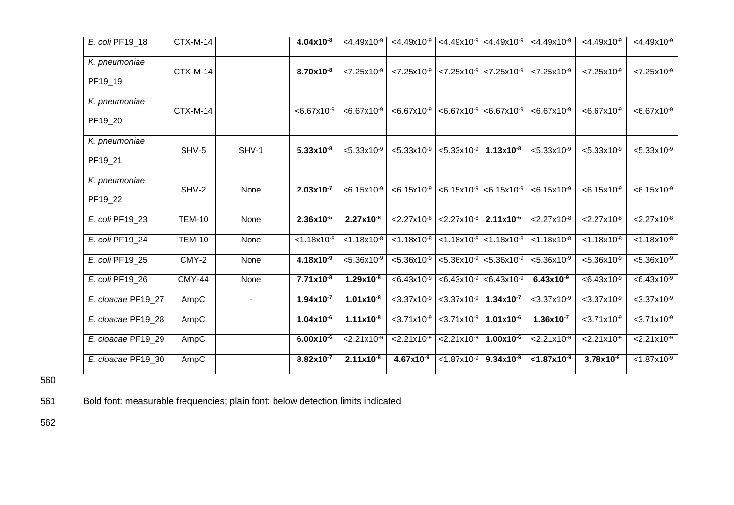| E. coli PF19 18          | $CTX-M-14$      |                          | $4.04x10^{-8}$          | $<$ 4.49x10 <sup>-9</sup> | $<$ 4.49x10 <sup>-9</sup> | $<$ 4.49 $\times$ 10 <sup>-9</sup> | $<$ 4.49x10 <sup>-9</sup> | $<$ 4.49x10 <sup>-9</sup> | $<$ 4.49x10 <sup>-9</sup> | $<$ 4.49 $\times$ 10 <sup>-9</sup> |
|--------------------------|-----------------|--------------------------|-------------------------|---------------------------|---------------------------|------------------------------------|---------------------------|---------------------------|---------------------------|------------------------------------|
| K. pneumoniae<br>PF19_19 | CTX-M-14        |                          | $8.70x10^{-8}$          | $< 7.25 \times 10^{-9}$   | $< 7.25 \times 10^{-9}$   | $< 7.25 \times 10^{-9}$            | $< 7.25 \times 10^{-9}$   | $< 7.25 \times 10^{-9}$   | $< 7.25 \times 10^{-9}$   | $< 7.25 \times 10^{-9}$            |
| K. pneumoniae<br>PF19 20 | <b>CTX-M-14</b> |                          | $< 6.67 \times 10^{-9}$ | $< 6.67 \times 10^{-9}$   | $< 6.67 \times 10^{-9}$   | $< 6.67 \times 10^{-9}$            | $< 6.67 \times 10^{-9}$   | $< 6.67 \times 10^{-9}$   | $< 6.67 \times 10^{-9}$   | $< 6.67 \times 10^{-9}$            |
| K. pneumoniae<br>PF19 21 | SHV-5           | SHV-1                    | $5.33 \times 10^{-8}$   | $< 5.33 \times 10^{-9}$   | $< 5.33 \times 10^{-9}$   | $< 5.33 \times 10^{-9}$            | $1.13x10^{-8}$            | $< 5.33 \times 10^{-9}$   | $< 5.33 \times 10^{-9}$   | $< 5.33 \times 10^{-9}$            |
| K. pneumoniae<br>PF19_22 | SHV-2           | None                     | $2.03x10^{-7}$          | $< 6.15 \times 10^{-9}$   | $< 6.15 \times 10^{-9}$   | $< 6.15 \times 10^{-9}$            | $< 6.15 \times 10^{-9}$   | $< 6.15 \times 10^{-9}$   | $< 6.15 \times 10^{-9}$   | $< 6.15 \times 10^{-9}$            |
| E. coli PF19 23          | <b>TEM-10</b>   | None                     | $2.36x10^{-5}$          | $2.27x10^{-8}$            | $< 2.27 \times 10^{-8}$   | $< 2.27 \times 10^{-8}$            | $2.11x10^{-6}$            | $< 2.27 \times 10^{-8}$   | $< 2.27 \times 10^{-8}$   | $< 2.27 \times 10^{-8}$            |
| E. coli PF19_24          | <b>TEM-10</b>   | None                     | $< 1.18 \times 10^{-8}$ | $< 1.18 \times 10^{-8}$   | $< 1.18 \times 10^{-8}$   | $< 1.18 \times 10^{-8}$            | $< 1.18 \times 10^{-8}$   | $< 1.18 \times 10^{-8}$   | $< 1.18 \times 10^{-8}$   | $< 1.18 \times 10^{-8}$            |
| E. coli PF19 25          | CMY-2           | None                     | $4.18x10^{-9}$          | $< 5.36 \times 10^{-9}$   | $< 5.36 \times 10^{-9}$   | $< 5.36 \times 10^{-9}$            | $< 5.36 \times 10^{-9}$   | $< 5.36 \times 10^{-9}$   | $< 5.36 \times 10^{-9}$   | $< 5.36 \times 10^{-9}$            |
| E. coli PF19_26          | <b>CMY-44</b>   | None                     | $7.71x10^{-8}$          | $1.29x10^{-8}$            | $< 6.43 \times 10^{-9}$   | $< 6.43 \times 10^{-9}$            | $< 6.43 \times 10^{-9}$   | $6.43x10^{-9}$            | $< 6.43 \times 10^{-9}$   | $< 6.43 \times 10^{-9}$            |
| E. cloacae PF19_27       | AmpC            | $\overline{\phantom{a}}$ | $1.94x10^{-7}$          | $1.01x10^{-8}$            | $<$ 3.37x10 <sup>-9</sup> | $<$ 3.37x10 <sup>-9</sup>          | $1.34 \times 10^{-7}$     | $<$ 3.37x10 <sup>-9</sup> | $<$ 3.37x10 <sup>-9</sup> | $<$ 3.37x10 <sup>-9</sup>          |
| E. cloacae PF19 28       | AmpC            |                          | $1.04x10^{-6}$          | $1.11x10^{-8}$            | $< 3.71x10^{-9}$          | $< 3.71 \times 10^{-9}$            | $1.01x10^{-6}$            | $1.36x10^{-7}$            | $< 3.71 \times 10^{-9}$   | $< 3.71x10^{-9}$                   |
| E. cloacae PF19_29       | AmpC            |                          | $6.00x10^{-6}$          | $< 2.21 \times 10^{-9}$   | $< 2.21 \times 10^{-9}$   | $< 2.21 \times 10^{-9}$            | $1.00x10^{-6}$            | $< 2.21 \times 10^{-9}$   | $< 2.21 \times 10^{-9}$   | $2.21x10^{-9}$                     |
| E. cloacae PF19_30       | AmpC            |                          | $8.82\times10^{-7}$     | $2.11x10^{-8}$            | $4.67x10^{-9}$            | $< 1.87 \times 10^{-9}$            | $9.34x10^{-9}$            | $< 1.87 \times 10^{-9}$   | $3.78x10^{-9}$            | $< 1.87 \times 10^{-9}$            |

560

561 Bold font: measurable frequencies; plain font: below detection limits indicated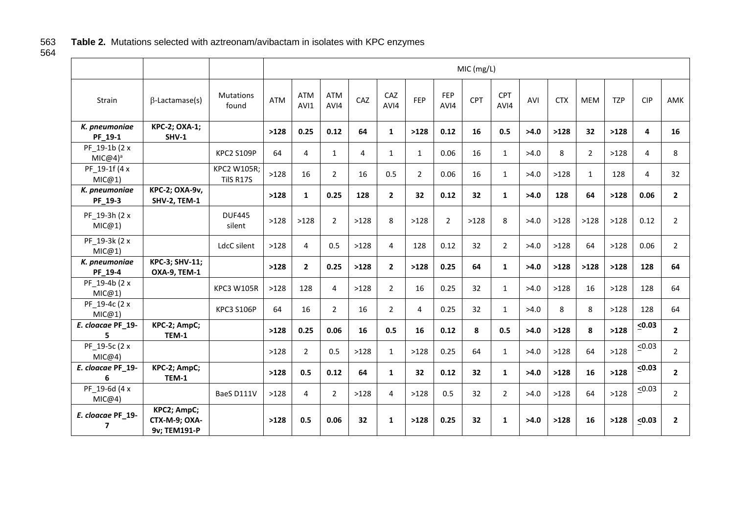# Table 2. Mutations selected with aztreonam/avibactam in isolates with KPC enzymes

563<br>564

|                             |                                              |                           |            |                    |                    |      |                |                |             | MIC (mg/L) |                |      |            |            |            |             |                |
|-----------------------------|----------------------------------------------|---------------------------|------------|--------------------|--------------------|------|----------------|----------------|-------------|------------|----------------|------|------------|------------|------------|-------------|----------------|
| Strain                      | $\beta$ -Lactamase(s)                        | <b>Mutations</b><br>found | <b>ATM</b> | <b>ATM</b><br>AVI1 | <b>ATM</b><br>AVI4 | CAZ  | CAZ<br>AVI4    | FEP            | FEP<br>AVI4 | <b>CPT</b> | CPT<br>AVI4    | AVI  | <b>CTX</b> | <b>MEM</b> | <b>TZP</b> | <b>CIP</b>  | AMK            |
| K. pneumoniae<br>PF_19-1    | <b>KPC-2; OXA-1;</b><br>SHV-1                |                           | >128       | 0.25               | 0.12               | 64   | $\mathbf{1}$   | >128           | 0.12        | 16         | 0.5            | >4.0 | >128       | 32         | >128       | 4           | 16             |
| PF 19-1b (2 x<br>$MIC@4)^a$ |                                              | <b>KPC2 S109P</b>         | 64         | 4                  | $\mathbf{1}$       | 4    | $\mathbf{1}$   | $\mathbf{1}$   | 0.06        | 16         | $\mathbf{1}$   | >4.0 | 8          | 2          | >128       | 4           | 8              |
| PF_19-1f (4 x<br>MIC@1)     |                                              | KPC2 W105R;<br>TilS R17S  | >128       | 16                 | $\overline{2}$     | 16   | 0.5            | $\overline{2}$ | 0.06        | 16         | $\mathbf{1}$   | >4.0 | >128       | 1          | 128        | 4           | 32             |
| K. pneumoniae<br>PF_19-3    | <b>KPC-2; OXA-9v,</b><br><b>SHV-2, TEM-1</b> |                           | >128       | $\mathbf{1}$       | 0.25               | 128  | $\overline{2}$ | 32             | 0.12        | 32         | $\mathbf{1}$   | >4.0 | 128        | 64         | >128       | 0.06        | $\mathbf{2}$   |
| PF_19-3h (2 x<br>MIC@1)     |                                              | <b>DUF445</b><br>silent   | >128       | >128               | $\overline{2}$     | >128 | 8              | >128           | 2           | >128       | 8              | >4.0 | >128       | >128       | >128       | 0.12        | $\overline{2}$ |
| PF 19-3k (2 x<br>MIC@1)     |                                              | LdcC silent               | >128       | $\overline{4}$     | 0.5                | >128 | 4              | 128            | 0.12        | 32         | $\overline{2}$ | >4.0 | >128       | 64         | >128       | 0.06        | $\overline{2}$ |
| K. pneumoniae<br>PF_19-4    | <b>KPC-3; SHV-11;</b><br><b>OXA-9, TEM-1</b> |                           | >128       | $\overline{2}$     | 0.25               | >128 | $\overline{2}$ | >128           | 0.25        | 64         | $\mathbf{1}$   | >4.0 | >128       | >128       | >128       | 128         | 64             |
| PF 19-4b (2 x<br>MIC@1)     |                                              | <b>KPC3 W105R</b>         | >128       | 128                | 4                  | >128 | $\overline{2}$ | 16             | 0.25        | 32         | $\mathbf{1}$   | >4.0 | >128       | 16         | >128       | 128         | 64             |
| PF 19-4c (2 x<br>MIC@1)     |                                              | <b>KPC3 S106P</b>         | 64         | 16                 | $\overline{2}$     | 16   | $\overline{2}$ | 4              | 0.25        | 32         | $\mathbf{1}$   | >4.0 | 8          | 8          | >128       | 128         | 64             |
| E. cloacae PF_19-<br>5      | KPC-2; AmpC;<br><b>TEM-1</b>                 |                           | >128       | 0.25               | 0.06               | 16   | 0.5            | 16             | 0.12        | 8          | 0.5            | >4.0 | >128       | 8          | >128       | $\leq 0.03$ | $\mathbf{2}$   |
| PF 19-5c (2 x<br>MIC@4)     |                                              |                           | >128       | 2                  | 0.5                | >128 | $\mathbf{1}$   | >128           | 0.25        | 64         | $\mathbf{1}$   | >4.0 | >128       | 64         | >128       | $\leq 0.03$ | $\overline{2}$ |
| E. cloacae PF_19-<br>6      | KPC-2; AmpC;<br><b>TEM-1</b>                 |                           | >128       | 0.5                | 0.12               | 64   | $\mathbf{1}$   | 32             | 0.12        | 32         | $\mathbf{1}$   | >4.0 | >128       | 16         | >128       | $\leq 0.03$ | $\mathbf{2}$   |
| PF 19-6d (4 x<br>MIC@4)     |                                              | BaeS D111V                | >128       | $\overline{4}$     | $\overline{2}$     | >128 | 4              | >128           | 0.5         | 32         | $\overline{2}$ | >4.0 | >128       | 64         | >128       | $\leq 0.03$ | $\overline{2}$ |
| E. cloacae PF_19-<br>7      | KPC2; AmpC;<br>CTX-M-9; OXA-<br>9v; TEM191-P |                           | >128       | 0.5                | 0.06               | 32   | $\mathbf{1}$   | >128           | 0.25        | 32         | $\mathbf{1}$   | >4.0 | >128       | 16         | >128       | < 0.03      | $\overline{2}$ |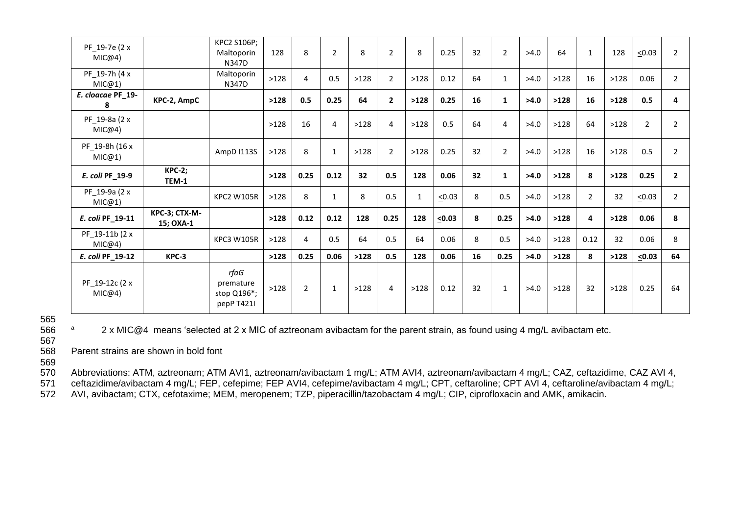| PF 19-7e (2 x<br>MIC@4)  |                            | KPC2 S106P;<br>Maltoporin<br>N347D             | 128  | 8              | $\overline{2}$ | 8    | $\overline{2}$ | 8            | 0.25        | 32              | $\overline{2}$ | >4.0 | 64   | 1              | 128  | $\leq 0.03$    | $\overline{2}$ |
|--------------------------|----------------------------|------------------------------------------------|------|----------------|----------------|------|----------------|--------------|-------------|-----------------|----------------|------|------|----------------|------|----------------|----------------|
| PF_19-7h (4 x<br>MIC@1)  |                            | Maltoporin<br>N347D                            | >128 | 4              | 0.5            | >128 | $\overline{2}$ | >128         | 0.12        | 64              | $\mathbf{1}$   | >4.0 | >128 | 16             | >128 | 0.06           | $\overline{2}$ |
| E. cloacae PF_19-<br>8   | KPC-2, AmpC                |                                                | >128 | 0.5            | 0.25           | 64   | $\overline{2}$ | >128         | 0.25        | 16              | $\mathbf{1}$   | >4.0 | >128 | 16             | >128 | 0.5            | 4              |
| PF_19-8a (2 x<br>MIC@4)  |                            |                                                | >128 | 16             | 4              | >128 | 4              | >128         | 0.5         | 64              | 4              | >4.0 | >128 | 64             | >128 | $\overline{2}$ | $\overline{2}$ |
| PF_19-8h (16 x<br>MIC@1) |                            | AmpD I113S                                     | >128 | 8              | $\mathbf{1}$   | >128 | $\overline{2}$ | >128         | 0.25        | 32              | 2              | >4.0 | >128 | 16             | >128 | 0.5            | $\overline{2}$ |
| E. coli PF_19-9          | <b>KPC-2;</b><br>TEM-1     |                                                | >128 | 0.25           | 0.12           | 32   | 0.5            | 128          | 0.06        | 32 <sub>2</sub> | $\mathbf{1}$   | >4.0 | >128 | 8              | >128 | 0.25           | $\mathbf{2}$   |
| PF_19-9a (2 x<br>MIC@1)  |                            | <b>KPC2 W105R</b>                              | >128 | 8              | $\mathbf{1}$   | 8    | 0.5            | $\mathbf{1}$ | $\leq 0.03$ | 8               | 0.5            | >4.0 | >128 | $\overline{2}$ | 32   | $\leq 0.03$    | $\overline{2}$ |
| E. coli PF_19-11         | KPC-3; CTX-M-<br>15; OXA-1 |                                                | >128 | 0.12           | 0.12           | 128  | 0.25           | 128          | $\leq 0.03$ | 8               | 0.25           | >4.0 | >128 | 4              | >128 | 0.06           | 8              |
| PF 19-11b (2 x<br>MIC@4) |                            | <b>KPC3 W105R</b>                              | >128 | 4              | 0.5            | 64   | 0.5            | 64           | 0.06        | 8               | 0.5            | >4.0 | >128 | 0.12           | 32   | 0.06           | 8              |
| E. coli PF_19-12         | KPC-3                      |                                                | >128 | 0.25           | 0.06           | >128 | 0.5            | 128          | 0.06        | 16              | 0.25           | >4.0 | >128 | 8              | >128 | $\leq 0.03$    | 64             |
| PF_19-12c (2 x<br>MIC@4) |                            | rfaG<br>premature<br>stop Q196*;<br>pepP T421I | >128 | $\overline{2}$ | $\mathbf{1}$   | >128 | 4              | >128         | 0.12        | 32              | $\mathbf{1}$   | >4.0 | >128 | 32             | >128 | 0.25           | 64             |

565<br>566

<sup>a</sup> 2 x MIC@4 means 'selected at 2 x MIC of aztreonam avibactam for the parent strain, as found using 4 mg/L avibactam etc.

567 Parent strains are shown in bold font

569

570 Abbreviations: ATM, aztreonam; ATM AVI1, aztreonam/avibactam 1 mg/L; ATM AVI4, aztreonam/avibactam 4 mg/L; CAZ, ceftazidime, CAZ AVI 4,

571 ceftazidime/avibactam 4 mg/L; FEP, cefepime; FEP AVI4, cefepime/avibactam 4 mg/L; CPT, ceftaroline; CPT AVI 4, ceftaroline/avibactam 4 mg/L; 572 AVI, avibactam: CTX, cefotaxime: MEM, meropenem: TZP, piperacillin/tazoba

572 AVI, avibactam; CTX, cefotaxime; MEM, meropenem; TZP, piperacillin/tazobactam 4 mg/L; CIP, ciprofloxacin and AMK, amikacin.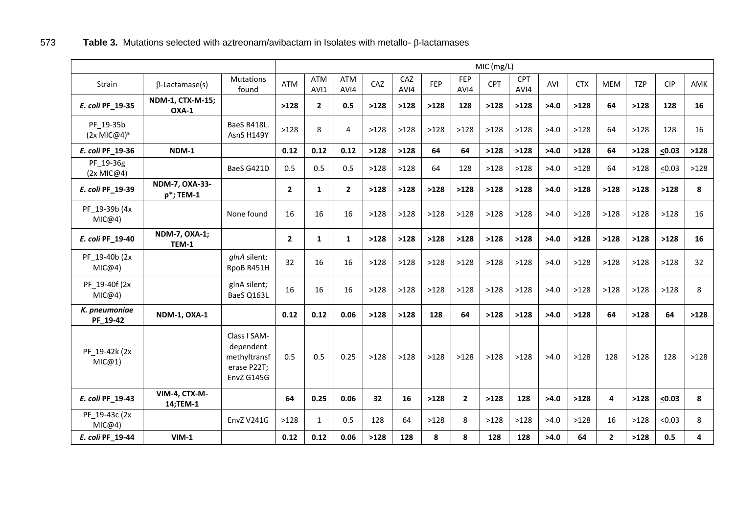# $573$  **Table 3.** Mutations selected with aztreonam/avibactam in Isolates with metallo-  $\beta$ -lactamases

|                                      |                               |                                                                        |                |                    |                |      |             |            |                    | MIC (mg/L) |                    |      |            |              |            |             |      |
|--------------------------------------|-------------------------------|------------------------------------------------------------------------|----------------|--------------------|----------------|------|-------------|------------|--------------------|------------|--------------------|------|------------|--------------|------------|-------------|------|
| <b>Strain</b>                        | $\beta$ -Lactamase(s)         | Mutations<br>found                                                     | <b>ATM</b>     | <b>ATM</b><br>AVI1 | ATM<br>AVI4    | CAZ  | CAZ<br>AVI4 | <b>FEP</b> | <b>FEP</b><br>AVI4 | <b>CPT</b> | <b>CPT</b><br>AVI4 | AVI  | <b>CTX</b> | <b>MEM</b>   | <b>TZP</b> | <b>CIP</b>  | AMK  |
| E. coli PF_19-35                     | NDM-1, CTX-M-15;<br>OXA-1     |                                                                        | >128           | $\overline{2}$     | 0.5            | >128 | >128        | >128       | 128                | >128       | >128               | >4.0 | >128       | 64           | >128       | 128         | 16   |
| PF 19-35b<br>(2x MIC@4) <sup>a</sup> |                               | BaeS R418L.<br>AsnS H149Y                                              | >128           | 8                  | 4              | >128 | >128        | >128       | >128               | >128       | >128               | >4.0 | >128       | 64           | >128       | 128         | 16   |
| E. coli PF_19-36                     | NDM-1                         |                                                                        | 0.12           | 0.12               | 0.12           | >128 | >128        | 64         | 64                 | >128       | >128               | >4.0 | >128       | 64           | >128       | $\leq 0.03$ | >128 |
| PF 19-36g<br>(2x MIC@4)              |                               | BaeS G421D                                                             | 0.5            | 0.5                | 0.5            | >128 | >128        | 64         | 128                | >128       | >128               | >4.0 | >128       | 64           | >128       | $\leq 0.03$ | >128 |
| E. coli PF_19-39                     | NDM-7, OXA-33-<br>p*; TEM-1   |                                                                        | $\overline{2}$ | $\mathbf{1}$       | $\overline{2}$ | >128 | >128        | >128       | >128               | >128       | >128               | >4.0 | >128       | >128         | >128       | >128        | 8    |
| PF_19-39b (4x<br>MIC@4)              |                               | None found                                                             | 16             | 16                 | 16             | >128 | >128        | >128       | >128               | >128       | >128               | >4.0 | >128       | >128         | >128       | >128        | 16   |
| E. coli PF_19-40                     | <b>NDM-7, OXA-1;</b><br>TEM-1 |                                                                        | $\overline{2}$ | $\mathbf{1}$       | $\mathbf{1}$   | >128 | >128        | >128       | >128               | >128       | >128               | >4.0 | >128       | >128         | >128       | >128        | 16   |
| PF 19-40b (2x<br>MIC@4)              |                               | glnA silent;<br>RpoB R451H                                             | 32             | 16                 | 16             | >128 | >128        | >128       | >128               | >128       | >128               | >4.0 | >128       | >128         | >128       | >128        | 32   |
| PF 19-40f (2x<br>MIC@4)              |                               | glnA silent;<br>BaeS Q163L                                             | 16             | 16                 | 16             | >128 | >128        | >128       | >128               | >128       | >128               | >4.0 | >128       | >128         | >128       | >128        | 8    |
| K. pneumoniae<br>PF_19-42            | <b>NDM-1, OXA-1</b>           |                                                                        | 0.12           | 0.12               | 0.06           | >128 | >128        | 128        | 64                 | >128       | >128               | >4.0 | >128       | 64           | >128       | 64          | >128 |
| PF 19-42k (2x<br>MIC@1)              |                               | Class I SAM-<br>dependent<br>methyltransf<br>erase P22T;<br>EnvZ G145G | 0.5            | 0.5                | 0.25           | >128 | >128        | >128       | >128               | >128       | >128               | >4.0 | >128       | 128          | >128       | 128         | >128 |
| E. coli PF_19-43                     | VIM-4, CTX-M-<br>14;TEM-1     |                                                                        | 64             | 0.25               | 0.06           | 32   | 16          | >128       | $\overline{2}$     | >128       | 128                | >4.0 | >128       | 4            | >128       | $\leq 0.03$ | 8    |
| PF 19-43c (2x<br>MIC@4)              |                               | <b>EnvZ V241G</b>                                                      | >128           | $\mathbf{1}$       | 0.5            | 128  | 64          | >128       | 8                  | >128       | >128               | >4.0 | >128       | 16           | >128       | $\leq 0.03$ | 8    |
| E. coli PF_19-44                     | $VIM-1$                       |                                                                        | 0.12           | 0.12               | 0.06           | >128 | 128         | 8          | 8                  | 128        | 128                | >4.0 | 64         | $\mathbf{2}$ | >128       | 0.5         | 4    |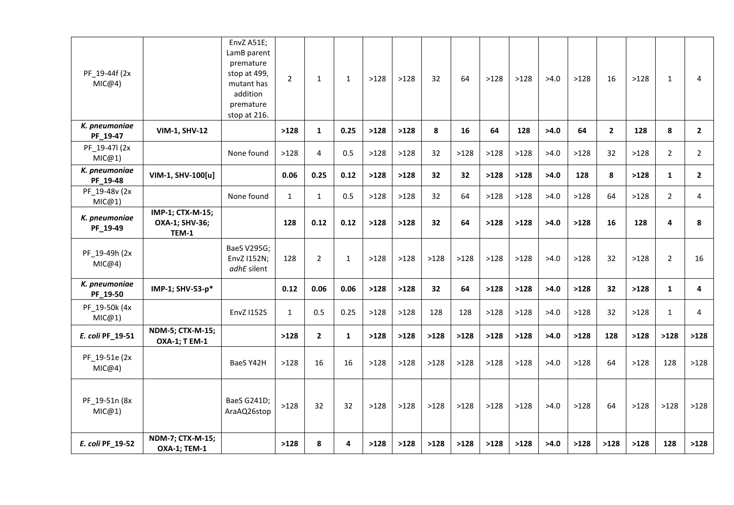| PF_19-44f (2x<br>MIC@4)   |                                             | EnvZ A51E;<br>LamB parent<br>premature<br>stop at 499,<br>mutant has<br>addition<br>premature<br>stop at 216. | $\overline{2}$ | $\mathbf{1}$   | $\mathbf{1}$ | >128 | >128 | 32   | 64   | >128 | >128 | >4.0 | >128 | 16           | >128 | $\mathbf{1}$   | 4              |
|---------------------------|---------------------------------------------|---------------------------------------------------------------------------------------------------------------|----------------|----------------|--------------|------|------|------|------|------|------|------|------|--------------|------|----------------|----------------|
| K. pneumoniae<br>PF_19-47 | <b>VIM-1, SHV-12</b>                        |                                                                                                               | >128           | $\mathbf{1}$   | 0.25         | >128 | >128 | 8    | 16   | 64   | 128  | >4.0 | 64   | $\mathbf{2}$ | 128  | 8              | $\mathbf{2}$   |
| PF 19-47l (2x<br>MIC@1)   |                                             | None found                                                                                                    | >128           | 4              | 0.5          | >128 | >128 | 32   | >128 | >128 | >128 | >4.0 | >128 | 32           | >128 | $\overline{2}$ | $\overline{2}$ |
| K. pneumoniae<br>PF_19-48 | VIM-1, SHV-100[u]                           |                                                                                                               | 0.06           | 0.25           | 0.12         | >128 | >128 | 32   | 32   | >128 | >128 | >4.0 | 128  | 8            | >128 | $\mathbf{1}$   | $\mathbf{2}$   |
| PF_19-48v (2x<br>MIC@1)   |                                             | None found                                                                                                    | $\mathbf{1}$   | $\mathbf{1}$   | 0.5          | >128 | >128 | 32   | 64   | >128 | >128 | >4.0 | >128 | 64           | >128 | $\overline{2}$ | 4              |
| K. pneumoniae<br>PF_19-49 | IMP-1; CTX-M-15;<br>OXA-1; SHV-36;<br>TEM-1 |                                                                                                               | 128            | 0.12           | 0.12         | >128 | >128 | 32   | 64   | >128 | >128 | >4.0 | >128 | 16           | 128  | 4              | 8              |
| PF_19-49h (2x)<br>MIC@4)  |                                             | BaeS V295G;<br>EnvZ I152N;<br>adhE silent                                                                     | 128            | $\overline{2}$ | $\mathbf{1}$ | >128 | >128 | >128 | >128 | >128 | >128 | >4.0 | >128 | 32           | >128 | $\overline{2}$ | 16             |
| K. pneumoniae<br>PF_19-50 | IMP-1; SHV-53-p*                            |                                                                                                               | 0.12           | 0.06           | 0.06         | >128 | >128 | 32   | 64   | >128 | >128 | >4.0 | >128 | 32           | >128 | $\mathbf{1}$   | 4              |
| PF_19-50k (4x<br>MIC@1)   |                                             | <b>EnvZ1152S</b>                                                                                              | $\mathbf{1}$   | 0.5            | 0.25         | >128 | >128 | 128  | 128  | >128 | >128 | >4.0 | >128 | 32           | >128 | $\mathbf{1}$   | 4              |
| E. coli PF_19-51          | NDM-5; CTX-M-15;<br><b>OXA-1; T EM-1</b>    |                                                                                                               | >128           | $\mathbf{2}$   | $\mathbf{1}$ | >128 | >128 | >128 | >128 | >128 | >128 | >4.0 | >128 | 128          | >128 | >128           | >128           |
| PF_19-51e (2x<br>MIC@4)   |                                             | BaeS Y42H                                                                                                     | >128           | 16             | 16           | >128 | >128 | >128 | >128 | >128 | >128 | >4.0 | >128 | 64           | >128 | 128            | >128           |
| PF_19-51n (8x<br>MIC@1)   |                                             | <b>BaeS G241D;</b><br>AraAQ26stop                                                                             | >128           | 32             | 32           | >128 | >128 | >128 | >128 | >128 | >128 | >4.0 | >128 | 64           | >128 | >128           | >128           |
| E. coli PF_19-52          | NDM-7; CTX-M-15;<br><b>OXA-1; TEM-1</b>     |                                                                                                               | >128           | 8              | 4            | >128 | >128 | >128 | >128 | >128 | >128 | >4.0 | >128 | >128         | >128 | 128            | >128           |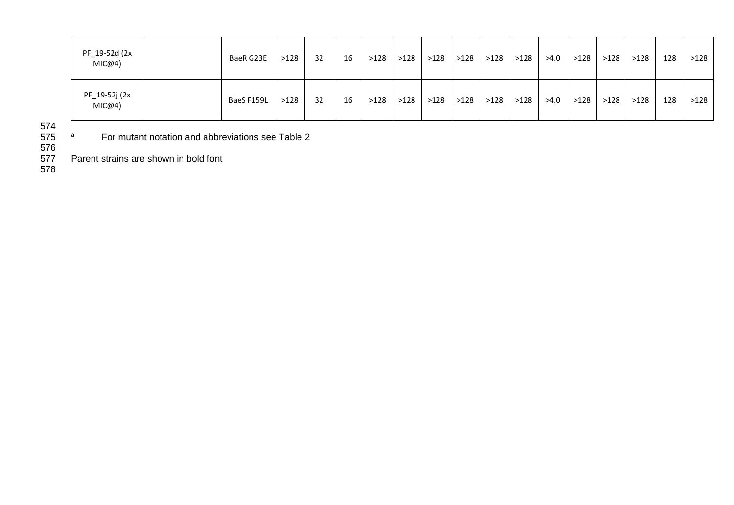| PF_19-52d (2x<br>MIC@4) | BaeR G23E  | >128 | 32 | 16 | >128 | >128 | >128 | >128 | >128 | >128 | >4.0 | >128 | >128 | >128 | 128 | >128 |
|-------------------------|------------|------|----|----|------|------|------|------|------|------|------|------|------|------|-----|------|
| PF_19-52j (2x<br>MIC@4) | BaeS F159L | >128 | 32 | 16 | >128 | >128 | >128 | >128 | >128 | >128 | >4.0 | >128 | >128 | >128 | 128 | >128 |

574

<sup>a</sup> 575 For mutant notation and abbreviations see Table 2

576<br>577

Parent strains are shown in bold font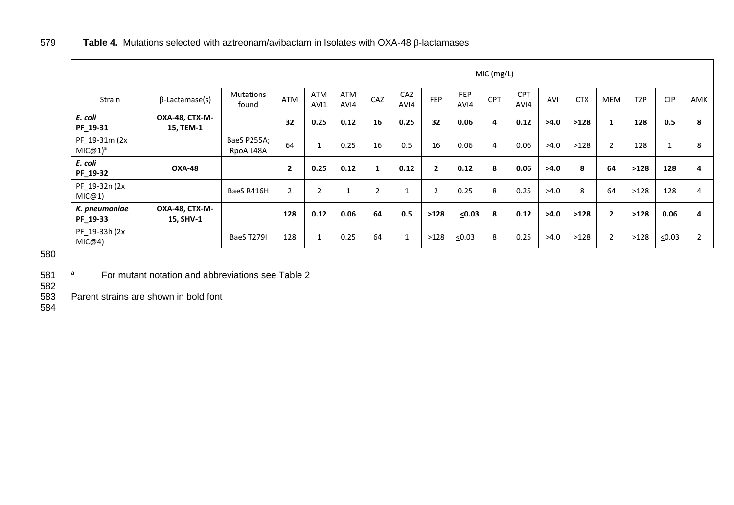|                                      |                             |                           |                |                    |              |                |              |              |                    | MIC (mg/L) |                    |      |            |                |            |             |     |
|--------------------------------------|-----------------------------|---------------------------|----------------|--------------------|--------------|----------------|--------------|--------------|--------------------|------------|--------------------|------|------------|----------------|------------|-------------|-----|
| Strain                               | $\beta$ -Lactamase(s)       | <b>Mutations</b><br>found | <b>ATM</b>     | <b>ATM</b><br>AVI1 | ATM<br>AVI4  | CAZ            | CAZ<br>AVI4  | <b>FEP</b>   | <b>FEP</b><br>AVI4 | CPT        | <b>CPT</b><br>AVI4 | AVI  | <b>CTX</b> | <b>MEM</b>     | <b>TZP</b> | <b>CIP</b>  | AMK |
| E. coli<br>PF_19-31                  | OXA-48, CTX-M-<br>15, TEM-1 |                           | 32             | 0.25               | 0.12         | 16             | 0.25         | 32           | 0.06               | 4          | 0.12               | >4.0 | >128       |                | 128        | 0.5         | 8   |
| PF_19-31m (2x<br>MIC@1) <sup>a</sup> |                             | BaeS P255A;<br>RpoA L48A  | 64             |                    | 0.25         | 16             | 0.5          | 16           | 0.06               | 4          | 0.06               | >4.0 | >128       | $\overline{2}$ | 128        |             | 8   |
| E. coli<br>PF_19-32                  | <b>OXA-48</b>               |                           | $\overline{2}$ | 0.25               | 0.12         |                | 0.12         | $\mathbf{2}$ | 0.12               | 8          | 0.06               | >4.0 | 8          | 64             | >128       | 128         | 4   |
| PF_19-32n (2x<br>MIC@1)              |                             | BaeS R416H                | $\overline{2}$ | $\overline{2}$     | $\mathbf{1}$ | $\overline{2}$ |              | 2            | 0.25               | 8          | 0.25               | >4.0 | 8          | 64             | >128       | 128         | 4   |
| K. pneumoniae<br>PF_19-33            | OXA-48, CTX-M-<br>15, SHV-1 |                           | 128            | 0.12               | 0.06         | 64             | 0.5          | >128         | < 0.03             | 8          | 0.12               | >4.0 | >128       | $\overline{2}$ | >128       | 0.06        | 4   |
| PF_19-33h (2x<br>MIC@4)              |                             | <b>BaeS T279I</b>         | 128            | $\mathbf{1}$       | 0.25         | 64             | $\mathbf{1}$ | >128         | $\leq 0.03$        | 8          | 0.25               | >4.0 | >128       | $\mathbf{2}$   | >128       | $\leq 0.03$ | 2   |

580

581 <sup>a</sup> For mutant notation and abbreviations see Table 2

582 Parent strains are shown in bold font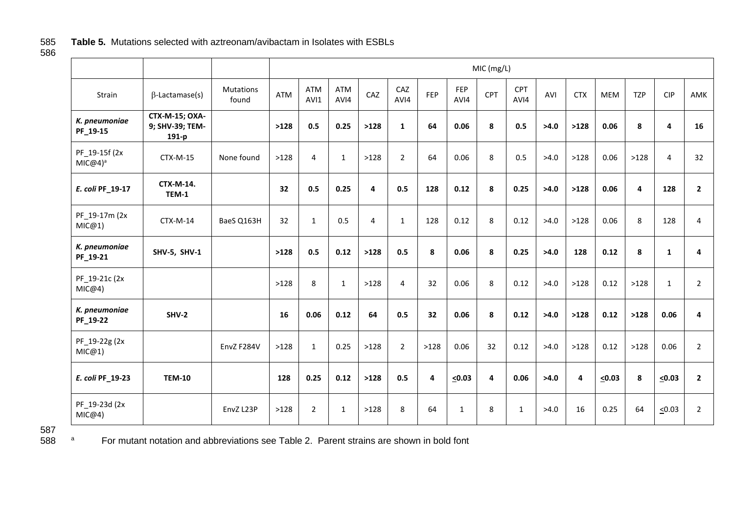# 585 **Table 5.** Mutations selected with aztreonam/avibactam in Isolates with ESBLs

586

|                             |                                            |                           |      |                |                    |      |                |      |                    | MIC (mg/L)     |                    |      |            |             |            |                |                |
|-----------------------------|--------------------------------------------|---------------------------|------|----------------|--------------------|------|----------------|------|--------------------|----------------|--------------------|------|------------|-------------|------------|----------------|----------------|
| Strain                      | $\beta$ -Lactamase(s)                      | <b>Mutations</b><br>found | ATM  | ATM<br>AVI1    | <b>ATM</b><br>AVI4 | CAZ  | CAZ<br>AVI4    | FEP  | <b>FEP</b><br>AVI4 | CPT            | <b>CPT</b><br>AVI4 | AVI  | <b>CTX</b> | <b>MEM</b>  | <b>TZP</b> | <b>CIP</b>     | AMK            |
| K. pneumoniae<br>PF_19-15   | CTX-M-15; OXA-<br>9; SHV-39; TEM-<br>191-p |                           | >128 | 0.5            | 0.25               | >128 | $\mathbf{1}$   | 64   | 0.06               | 8              | 0.5                | >4.0 | >128       | 0.06        | 8          | 4              | 16             |
| PF 19-15f (2x<br>$MIC@4)^a$ | CTX-M-15                                   | None found                | >128 | $\overline{4}$ | $\mathbf{1}$       | >128 | $\overline{2}$ | 64   | 0.06               | 8              | 0.5                | >4.0 | >128       | 0.06        | >128       | $\overline{4}$ | 32             |
| E. coli PF_19-17            | CTX-M-14.<br>TEM-1                         |                           | 32   | 0.5            | 0.25               | 4    | 0.5            | 128  | 0.12               | 8              | 0.25               | >4.0 | >128       | 0.06        | 4          | 128            | $\overline{2}$ |
| PF 19-17m (2x<br>MIC@1)     | CTX-M-14                                   | BaeS Q163H                | 32   | $\mathbf{1}$   | 0.5                | 4    | $\mathbf{1}$   | 128  | 0.12               | 8              | 0.12               | >4.0 | >128       | 0.06        | 8          | 128            | $\overline{4}$ |
| K. pneumoniae<br>PF_19-21   | <b>SHV-5, SHV-1</b>                        |                           | >128 | 0.5            | 0.12               | >128 | 0.5            | 8    | 0.06               | 8              | 0.25               | >4.0 | 128        | 0.12        | 8          | $\mathbf{1}$   | $\overline{4}$ |
| PF_19-21c (2x<br>MIC@4)     |                                            |                           | >128 | 8              | $\mathbf{1}$       | >128 | $\overline{4}$ | 32   | 0.06               | 8              | 0.12               | >4.0 | >128       | 0.12        | >128       | $\mathbf{1}$   | $\overline{2}$ |
| K. pneumoniae<br>PF_19-22   | <b>SHV-2</b>                               |                           | 16   | 0.06           | 0.12               | 64   | 0.5            | 32   | 0.06               | 8              | 0.12               | >4.0 | >128       | 0.12        | >128       | 0.06           | 4              |
| PF_19-22g (2x<br>MIC@1)     |                                            | EnvZ F284V                | >128 | $\mathbf{1}$   | 0.25               | >128 | $\overline{2}$ | >128 | 0.06               | 32             | 0.12               | >4.0 | >128       | 0.12        | >128       | 0.06           | $\overline{2}$ |
| E. coli PF_19-23            | <b>TEM-10</b>                              |                           | 128  | 0.25           | 0.12               | >128 | 0.5            | 4    | $\leq 0.03$        | $\overline{a}$ | 0.06               | >4.0 | 4          | $\leq 0.03$ | 8          | $\leq 0.03$    | $\overline{2}$ |
| PF 19-23d (2x<br>MIC@4)     |                                            | EnvZ L23P                 | >128 | $\overline{2}$ | $\mathbf{1}$       | >128 | 8              | 64   | $\mathbf{1}$       | 8              | $\mathbf{1}$       | >4.0 | 16         | 0.25        | 64         | $\leq 0.03$    | $\overline{2}$ |

<sup>a</sup> 588 For mutant notation and abbreviations see Table 2. Parent strains are shown in bold font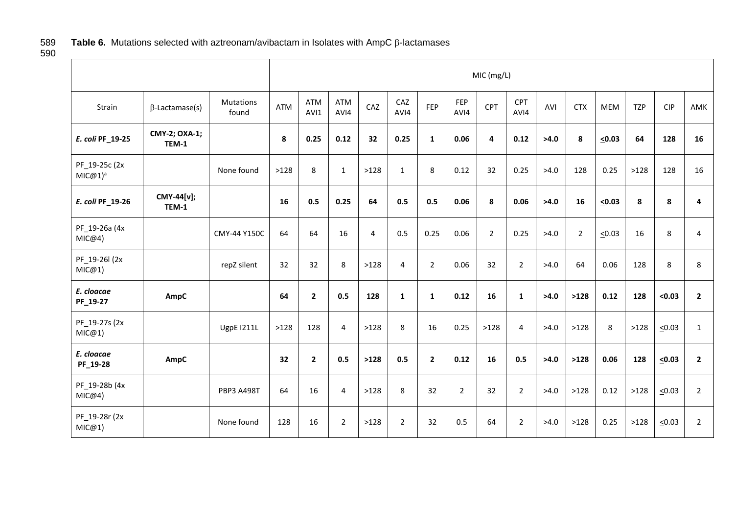# Table 6. Mutations selected with aztreonam/avibactam in Isolates with AmpC  $\beta$ -lactamases

589<br>590

|                                      |                        |                    | MIC (mg/L) |              |                    |                |                |                |                |             |                    |      |                |             |            |             |                |
|--------------------------------------|------------------------|--------------------|------------|--------------|--------------------|----------------|----------------|----------------|----------------|-------------|--------------------|------|----------------|-------------|------------|-------------|----------------|
| Strain                               | $\beta$ -Lactamase(s)  | Mutations<br>found | <b>ATM</b> | ATM<br>AVI1  | <b>ATM</b><br>AVI4 | CAZ            | CAZ<br>AVI4    | <b>FEP</b>     | FEP<br>AVI4    | <b>CPT</b>  | <b>CPT</b><br>AVI4 | AVI  | <b>CTX</b>     | <b>MEM</b>  | <b>TZP</b> | <b>CIP</b>  | AMK            |
| E. coli PF_19-25                     | CMY-2; OXA-1;<br>TEM-1 |                    | 8          | 0.25         | 0.12               | 32             | 0.25           | $\mathbf{1}$   | 0.06           | 4           | 0.12               | >4.0 | 8              | $\leq 0.03$ | 64         | 128         | 16             |
| PF_19-25c (2x<br>MIC@1) <sup>a</sup> |                        | None found         | >128       | 8            | $\mathbf{1}$       | >128           | $\mathbf{1}$   | 8              | 0.12           | 32          | 0.25               | >4.0 | 128            | 0.25        | >128       | 128         | 16             |
| E. coli PF_19-26                     | CMY-44[v];<br>TEM-1    |                    | 16         | 0.5          | 0.25               | 64             | 0.5            | 0.5            | 0.06           | 8           | 0.06               | >4.0 | 16             | $\leq 0.03$ | 8          | 8           | 4              |
| PF_19-26a (4x<br>MIC@4)              |                        | CMY-44 Y150C       | 64         | 64           | 16                 | $\overline{4}$ | 0.5            | 0.25           | 0.06           | $2^{\circ}$ | 0.25               | >4.0 | $\overline{2}$ | $\leq 0.03$ | 16         | 8           | $\overline{4}$ |
| PF_19-26l (2x<br>MIC@1)              |                        | repZ silent        | 32         | 32           | 8                  | >128           | $\overline{4}$ | $\overline{2}$ | 0.06           | 32          | $\overline{2}$     | >4.0 | 64             | 0.06        | 128        | 8           | 8              |
| E. cloacae<br>PF_19-27               | AmpC                   |                    | 64         | $\mathbf{2}$ | 0.5                | 128            | $\mathbf{1}$   | $\mathbf{1}$   | 0.12           | 16          | $\mathbf{1}$       | >4.0 | >128           | 0.12        | 128        | $\leq 0.03$ | $\overline{2}$ |
| PF_19-27s (2x<br>MIC@1)              |                        | <b>UgpE I211L</b>  | >128       | 128          | 4                  | >128           | 8              | 16             | 0.25           | >128        | 4                  | >4.0 | >128           | 8           | >128       | $\leq 0.03$ | $\mathbf{1}$   |
| E. cloacae<br>PF_19-28               | AmpC                   |                    | 32         | $\mathbf{2}$ | 0.5                | >128           | 0.5            | $\overline{2}$ | 0.12           | 16          | 0.5                | >4.0 | >128           | 0.06        | 128        | $\leq 0.03$ | $\overline{2}$ |
| PF_19-28b (4x<br>MIC@4)              |                        | <b>PBP3 A498T</b>  | 64         | 16           | 4                  | >128           | 8              | 32             | $\overline{2}$ | 32          | $\overline{2}$     | >4.0 | >128           | 0.12        | >128       | $\leq 0.03$ | $\overline{2}$ |
| PF 19-28r (2x<br>MIC@1)              |                        | None found         | 128        | 16           | $\overline{2}$     | >128           | $\overline{2}$ | 32             | 0.5            | 64          | $\overline{2}$     | >4.0 | >128           | 0.25        | >128       | $\leq 0.03$ | $\overline{2}$ |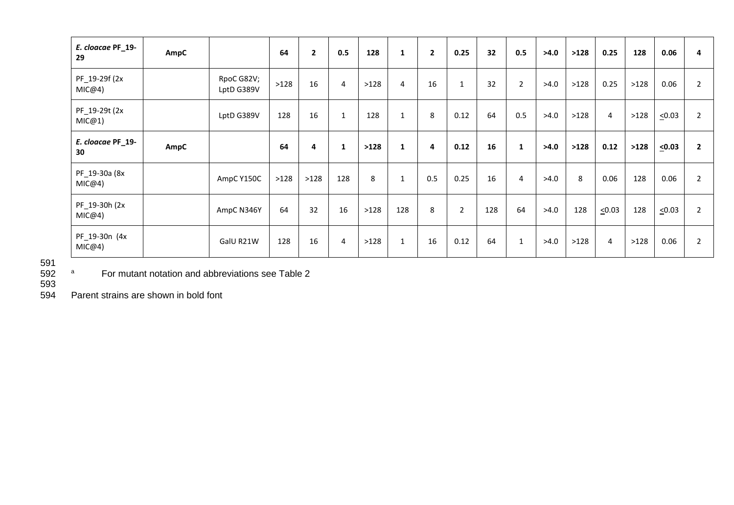| E. cloacae PF_19-<br>29  | AmpC |                          | 64   | $\mathbf{2}$ | 0.5            | 128  | $\mathbf{1}$ | $\overline{2}$ | 0.25           | 32  | 0.5          | >4.0 | >128 | 0.25           | 128  | 0.06        | 4              |
|--------------------------|------|--------------------------|------|--------------|----------------|------|--------------|----------------|----------------|-----|--------------|------|------|----------------|------|-------------|----------------|
| PF_19-29f (2x<br>MIC@4)  |      | RpoC G82V;<br>LptD G389V | >128 | 16           | $\overline{4}$ | >128 | 4            | 16             | $\mathbf{1}$   | 32  | $2^{\circ}$  | >4.0 | >128 | 0.25           | >128 | 0.06        | $\overline{2}$ |
| PF_19-29t (2x<br>MIC@1)  |      | LptD G389V               | 128  | 16           | $\mathbf{1}$   | 128  | $\mathbf{1}$ | 8              | 0.12           | 64  | 0.5          | >4.0 | >128 | $\overline{4}$ | >128 | $\leq 0.03$ | $\overline{2}$ |
| E. cloacae PF_19-<br>30  | AmpC |                          | 64   | 4            | 1              | >128 | $\mathbf{1}$ | 4              | 0.12           | 16  | $\mathbf{1}$ | >4.0 | >128 | 0.12           | >128 | $\leq 0.03$ | $\overline{2}$ |
| PF_19-30a (8x<br>MIC@4)  |      | AmpC Y150C               | >128 | >128         | 128            | 8    | 1            | 0.5            | 0.25           | 16  | 4            | >4.0 | 8    | 0.06           | 128  | 0.06        | $\overline{2}$ |
| PF_19-30h (2x)<br>MIC@4) |      | AmpC N346Y               | 64   | 32           | 16             | >128 | 128          | 8              | $\overline{2}$ | 128 | 64           | >4.0 | 128  | $\leq 0.03$    | 128  | $\leq 0.03$ | $\overline{2}$ |
| PF_19-30n (4x<br>MIC@4)  |      | GalU R21W                | 128  | 16           | $\overline{4}$ | >128 | $\mathbf{1}$ | 16             | 0.12           | 64  | $\mathbf{1}$ | >4.0 | >128 | $\overline{4}$ | >128 | 0.06        | $\overline{2}$ |

591<br>592

<sup>a</sup> For mutant notation and abbreviations see Table 2

593<br>594

Parent strains are shown in bold font